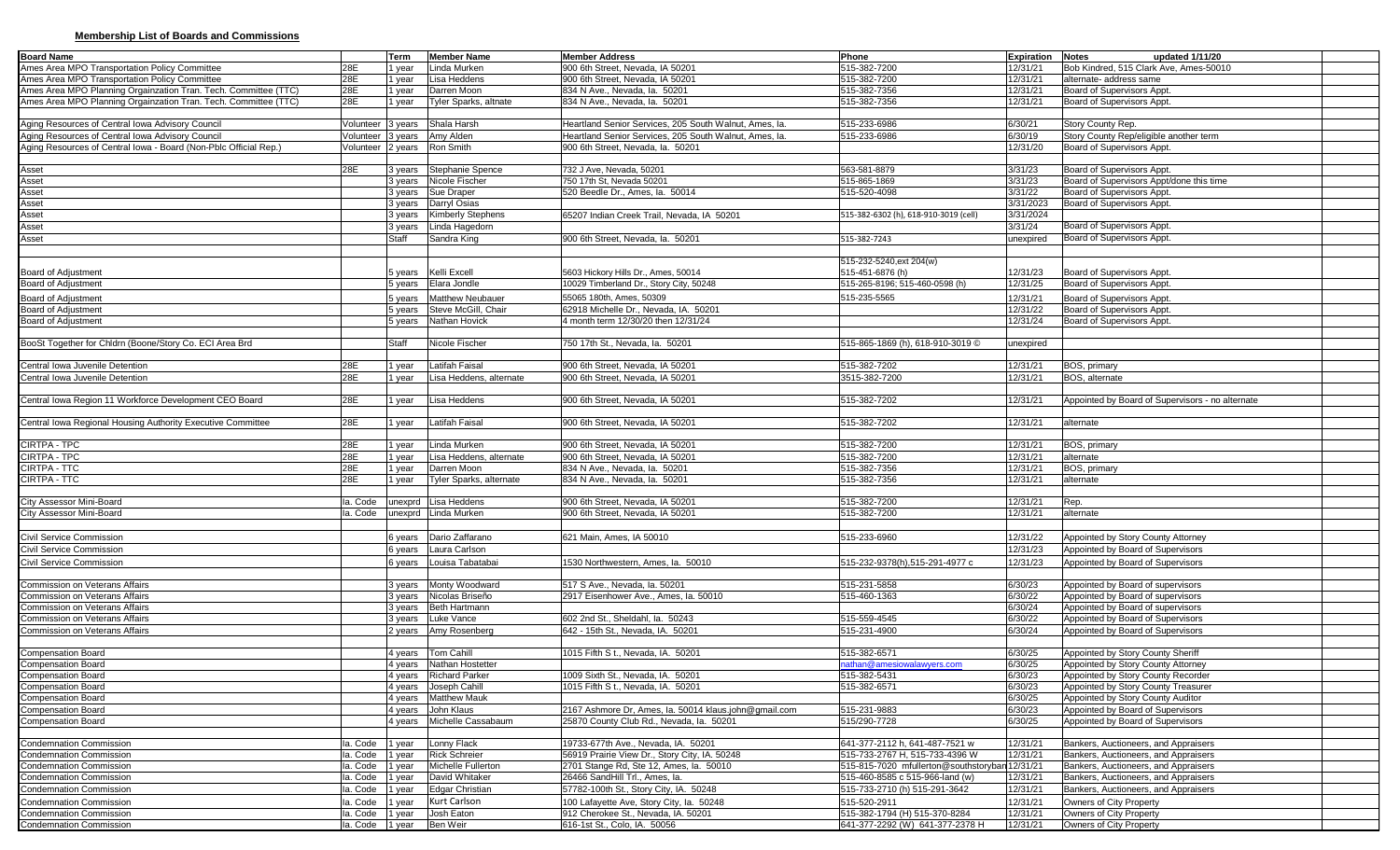## **Membership List of Boards and Commissions**

| 515-382-7200<br>Ames Area MPO Transportation Policy Committee<br>28E<br>Linda Murken<br>900 6th Street, Nevada, IA 50201<br>12/31/21<br>Bob Kindred, 515 Clark Ave, Ames-50010<br>1 year<br>28E<br>Ames Area MPO Transportation Policy Committee<br>Lisa Heddens<br>900 6th Street, Nevada, IA 50201<br>515-382-7200<br>12/31/21<br>alternate- address same<br>1 year<br>28E<br>Ames Area MPO Planning Orgainzation Tran. Tech. Committee (TTC)<br>Darren Moon<br>515-382-7356<br>12/31/21<br>Board of Supervisors Appt.<br>834 N Ave., Nevada, la. 50201<br>1 year<br>28E<br><b>Tyler Sparks, altnate</b><br>834 N Ave., Nevada, la. 50201<br>515-382-7356<br>12/31/21<br>Board of Supervisors Appt<br>I year<br>Shala Harsh<br>Heartland Senior Services, 205 South Walnut, Ames, la<br>515-233-6986<br>6/30/21<br>Story County Rep.<br>Volunteer 3 years<br>Aging Resources of Central Iowa Advisory Council<br>Story County Rep/eligible another term<br>Volunteer<br>3 years<br>Amy Alden<br>Heartland Senior Services, 205 South Walnut, Ames, la<br>515-233-6986<br>6/30/19<br>Aging Resources of Central Iowa - Board (Non-Pblc Official Rep.)<br>Ron Smith<br>900 6th Street. Nevada. Ia. 50201<br>2 years<br>12/31/20<br>Board of Supervisors Appt.<br>√olunteer<br>28E<br>Stephanie Spence<br>732 J Ave, Nevada, 50201<br>3/31/23<br>Board of Supervisors Appt.<br>3 years<br>563-581-8879<br>Nicole Fischer<br>750 17th St, Nevada 50201<br>515-865-1869<br>3/31/23<br>Board of Supervisors Appt/done this time<br>3 years<br>Board of Supervisors Appt.<br>Sue Draper<br>520 Beedle Dr., Ames, la. 50014<br>3/31/22<br>3 years<br>515-520-4098<br>Board of Supervisors Appt.<br>Darryl Osias<br>3/31/2023<br>3 years<br>Kimberly Stephens<br>3/31/2024<br>65207 Indian Creek Trail, Nevada, IA 50201<br>515-382-6302 (h), 618-910-3019 (cell)<br>3 years<br>Linda Hagedorn<br>3/31/24<br>Board of Supervisors Appt.<br>3 years<br><b>Board of Supervisors Appt</b><br>Staff<br>Sandra King<br>900 6th Street, Nevada, la. 50201<br>unexpired<br>515-382-7243<br>515-232-5240, ext 204(w)<br>515-451-6876 (h)<br>Kelli Excell<br>5603 Hickory Hills Dr., Ames, 50014<br>12/31/23<br>Board of Supervisors Appt<br>5 vears<br>Board of Supervisors Appt<br>Elara Jondle<br>10029 Timberland Dr., Story City, 50248<br>515-265-8196; 515-460-0598 (h)<br>12/31/25<br>5 years<br>12/31/21<br><b>Board of Adjustment</b><br><b>Matthew Neubauer</b><br>55065 180th, Ames, 50309<br>515-235-5565<br><b>Board of Supervisors Appt</b><br>5 years<br>Steve McGill, Chair<br>62918 Michelle Dr., Nevada, IA. 50201<br><b>Board of Supervisors Appt</b><br><b>Board of Adjustment</b><br>12/31/22<br>5 years<br>Nathan Hovick<br>4 month term 12/30/20 then 12/31/24<br><b>Board of Adjustment</b><br>12/31/24<br>Board of Supervisors Appt<br>5 years<br>Staff<br>Nicole Fischer<br>750 17th St., Nevada, la. 50201<br>515-865-1869 (h), 618-910-3019 ©<br>unexpired<br>Latifah Faisal<br>28E<br>900 6th Street, Nevada, IA 50201<br>515-382-7202<br>12/31/21<br>BOS, primary<br>1 year<br>28E<br>Lisa Heddens, alternate<br>900 6th Street, Nevada, IA 50201<br>3515-382-7200<br>12/31/21<br>BOS, alternate<br>I year<br>900 6th Street, Nevada, IA 50201<br>28E<br>Lisa Heddens<br>515-382-7202<br>12/31/21<br>Appointed by Board of Supervisors - no alternate<br>year<br>28E<br>Latifah Faisal<br>900 6th Street. Nevada. IA 50201<br>515-382-7202<br>12/31/21<br>I year<br>alternate<br>CIRTPA - TPC<br>28E<br>Linda Murken<br>900 6th Street, Nevada, IA 50201<br>515-382-7200<br>12/31/21<br>BOS, primary<br>year<br>CIRTPA - TPC<br>28E<br>515-382-7200<br>12/31/21<br>Lisa Heddens, alternate<br>900 6th Street, Nevada, IA 50201<br>alternate<br>1 year<br>CIRTPA - TTC<br>28E<br>Darren Moon<br>834 N Ave., Nevada, la. 50201<br>515-382-7356<br>12/31/21<br>BOS, primary<br>1 year<br>28E<br>CIRTPA - TTC<br>Tyler Sparks, alternate<br>834 N Ave., Nevada, la. 50201<br>515-382-7356<br>12/31/21<br>1 year<br>alternate<br>City Assessor Mini-Board<br>la. Code<br>Lisa Heddens<br>900 6th Street, Nevada, IA 50201<br>515-382-7200<br>12/31/21<br>Rep.<br>unexprd<br>City Assessor Mini-Board<br>unexprd Linda Murken<br>900 6th Street, Nevada, IA 50201<br>515-382-7200<br>12/31/21<br>alternate<br>la. Code<br>Dario Zaffarano<br>Civil Service Commission<br>621 Main, Ames, IA 50010<br>515-233-6960<br>12/31/22<br>Appointed by Story County Attorney<br>6 years<br>Laura Carlson<br>12/31/23<br>Civil Service Commission<br>Appointed by Board of Supervisors<br>6 years<br>Louisa Tabatabai<br>1530 Northwestern, Ames, la. 50010<br>515-232-9378(h).515-291-4977 c<br>12/31/23<br>Appointed by Board of Supervisors<br>6 years<br>Monty Woodward<br>517 S Ave., Nevada, la. 50201<br>515-231-5858<br>6/30/23<br>Appointed by Board of supervisors<br>Commission on Veterans Affairs<br>3 years<br>Nicolas Briseño<br>3 vears<br>2917 Eisenhower Ave., Ames, la. 50010<br>6/30/22<br>Appointed by Board of supervisors<br><b>Commission on Veterans Affairs</b><br>515-460-1363<br>3 years Beth Hartmann<br>6/30/24<br>Appointed by Board of supervisors<br><b>Commission on Veterans Affairs</b><br>Luke Vance<br>602 2nd St., Sheldahl, la. 50243<br>515-559-4545<br>6/30/22<br>Appointed by Board of Supervisors<br>Commission on Veterans Affairs<br>3 years<br>Commission on Veterans Affairs<br>Amy Rosenberg<br>642 - 15th St., Nevada, IA. 50201<br>515-231-4900<br>6/30/24<br>Appointed by Board of Supervisors<br>2 years<br>Tom Cahill<br>1015 Fifth S t., Nevada, IA. 50201<br>6/30/25<br><b>Compensation Board</b><br>515-382-6571<br>Appointed by Story County Sheriff<br>4 years<br>Compensation Board<br>Nathan Hostetter<br>6/30/25<br>4 years<br>nathan@amesiowalawyers.com<br>Appointed by Story County Attorney<br><b>Compensation Board</b><br>4 years Richard Parker<br>1009 Sixth St., Nevada, IA. 50201<br>515-382-5431<br>6/30/23<br>Appointed by Story County Recorder<br>4 years Joseph Cahill<br>1015 Fifth S t., Nevada, IA. 50201<br>515-382-6571<br>6/30/23<br>Appointed by Story County Treasurer<br><b>Compensation Board</b><br><b>Compensation Board</b><br>4 years Matthew Mauk<br>6/30/25<br>Appointed by Story County Auditor<br><b>Compensation Board</b><br>4 years<br>John Klaus<br>2167 Ashmore Dr, Ames, la. 50014 klaus.john@gmail.com<br>515-231-9883<br>6/30/23<br>Appointed by Board of Supervisors<br><b>Compensation Board</b><br>4 years   Michelle Cassabaum<br>515/290-7728<br>25870 County Club Rd., Nevada, la. 50201<br>6/30/25<br>Appointed by Board of Supervisors<br><b>Condemnation Commission</b><br>a. Code   1 year<br>Lonny Flack<br>19733-677th Ave., Nevada, IA. 50201<br>641-377-2112 h, 641-487-7521 w<br>12/31/21<br>Bankers, Auctioneers, and Appraisers<br><b>Rick Schreier</b><br>la. Code<br>1 year<br>56919 Prairie View Dr., Story City, IA. 50248<br>515-733-2767 H, 515-733-4396 W<br>12/31/21<br>Bankers, Auctioneers, and Appraisers<br>$la. Code$   1 year<br>Michelle Fullerton<br>2701 Stange Rd, Ste 12, Ames, la. 50010<br>515-815-7020 mfullerton@southstoryban 12/31/21<br>Bankers, Auctioneers, and Appraisers<br>la. Code<br>1 year<br>David Whitaker<br>26466 SandHill Trl., Ames, la.<br>515-460-8585 c 515-966-land (w)<br>12/31/21<br>Bankers, Auctioneers, and Appraisers<br>Edgar Christian<br>la. Code 1 vear<br>57782-100th St., Story City, IA. 50248<br>515-733-2710 (h) 515-291-3642<br>12/31/21<br>Bankers, Auctioneers, and Appraisers<br>Kurt Carlson<br><b>Condemnation Commission</b><br>la. Code<br>1 year<br>100 Lafayette Ave, Story City, la. 50248<br>515-520-2911<br>12/31/21<br>Owners of City Property<br>Owners of City Property<br>la. Code   1 year<br>Josh Eaton<br>912 Cherokee St., Nevada, IA. 50201<br>515-382-1794 (H) 515-370-8284<br>12/31/21<br>la. Code 1 year<br>Ben Weir<br>616-1st St., Colo, IA. 50056<br>641-377-2292 (W) 641-377-2378 H<br>12/31/21<br>Owners of City Property | <b>Board Name</b>                                               | Term | <b>Member Name</b> | <b>Member Address</b> | Phone | Expiration | Notes<br>updated 1/11/20 |  |
|-------------------------------------------------------------------------------------------------------------------------------------------------------------------------------------------------------------------------------------------------------------------------------------------------------------------------------------------------------------------------------------------------------------------------------------------------------------------------------------------------------------------------------------------------------------------------------------------------------------------------------------------------------------------------------------------------------------------------------------------------------------------------------------------------------------------------------------------------------------------------------------------------------------------------------------------------------------------------------------------------------------------------------------------------------------------------------------------------------------------------------------------------------------------------------------------------------------------------------------------------------------------------------------------------------------------------------------------------------------------------------------------------------------------------------------------------------------------------------------------------------------------------------------------------------------------------------------------------------------------------------------------------------------------------------------------------------------------------------------------------------------------------------------------------------------------------------------------------------------------------------------------------------------------------------------------------------------------------------------------------------------------------------------------------------------------------------------------------------------------------------------------------------------------------------------------------------------------------------------------------------------------------------------------------------------------------------------------------------------------------------------------------------------------------------------------------------------------------------------------------------------------------------------------------------------------------------------------------------------------------------------------------------------------------------------------------------------------------------------------------------------------------------------------------------------------------------------------------------------------------------------------------------------------------------------------------------------------------------------------------------------------------------------------------------------------------------------------------------------------------------------------------------------------------------------------------------------------------------------------------------------------------------------------------------------------------------------------------------------------------------------------------------------------------------------------------------------------------------------------------------------------------------------------------------------------------------------------------------------------------------------------------------------------------------------------------------------------------------------------------------------------------------------------------------------------------------------------------------------------------------------------------------------------------------------------------------------------------------------------------------------------------------------------------------------------------------------------------------------------------------------------------------------------------------------------------------------------------------------------------------------------------------------------------------------------------------------------------------------------------------------------------------------------------------------------------------------------------------------------------------------------------------------------------------------------------------------------------------------------------------------------------------------------------------------------------------------------------------------------------------------------------------------------------------------------------------------------------------------------------------------------------------------------------------------------------------------------------------------------------------------------------------------------------------------------------------------------------------------------------------------------------------------------------------------------------------------------------------------------------------------------------------------------------------------------------------------------------------------------------------------------------------------------------------------------------------------------------------------------------------------------------------------------------------------------------------------------------------------------------------------------------------------------------------------------------------------------------------------------------------------------------------------------------------------------------------------------------------------------------------------------------------------------------------------------------------------------------------------------------------------------------------------------------------------------------------------------------------------------------------------------------------------------------------------------------------------------------------------------------------------------------------------------------------------------------------------------------------------------------------------------------------------------------------------------------------------------------------------------------------------------------------------------------------------------------------------------------------------------------------------------------------------------------------------------------------------------------------------------------------------------------------------------------------------------------------------------------------------------------------------------------------------------------------------------------------------------------------------------------------------------------------------------------------------------------------------------------------------------------------------------------------------------------------------------------------------------------------------------------------------------------------------------------------------------------------------------------------------------------------------------------------------------------------------------------------------------------------------------------------------------------------------------------------------------------------------------------------------------------------------------------------------------------------------------------------------------------------------------------------------------------------------------------------------------------------------------------------------------------------------------------------------------------------------------------------------------------------------------------------------------------------------------|-----------------------------------------------------------------|------|--------------------|-----------------------|-------|------------|--------------------------|--|
|                                                                                                                                                                                                                                                                                                                                                                                                                                                                                                                                                                                                                                                                                                                                                                                                                                                                                                                                                                                                                                                                                                                                                                                                                                                                                                                                                                                                                                                                                                                                                                                                                                                                                                                                                                                                                                                                                                                                                                                                                                                                                                                                                                                                                                                                                                                                                                                                                                                                                                                                                                                                                                                                                                                                                                                                                                                                                                                                                                                                                                                                                                                                                                                                                                                                                                                                                                                                                                                                                                                                                                                                                                                                                                                                                                                                                                                                                                                                                                                                                                                                                                                                                                                                                                                                                                                                                                                                                                                                                                                                                                                                                                                                                                                                                                                                                                                                                                                                                                                                                                                                                                                                                                                                                                                                                                                                                                                                                                                                                                                                                                                                                                                                                                                                                                                                                                                                                                                                                                                                                                                                                                                                                                                                                                                                                                                                                                                                                                                                                                                                                                                                                                                                                                                                                                                                                                                                                                                                                                                                                                                                                                                                                                                                                                                                                                                                                                                                                                                                                                                                                                                                                                                                                                                                                                                                                                                                                                                                                                                                                                           |                                                                 |      |                    |                       |       |            |                          |  |
|                                                                                                                                                                                                                                                                                                                                                                                                                                                                                                                                                                                                                                                                                                                                                                                                                                                                                                                                                                                                                                                                                                                                                                                                                                                                                                                                                                                                                                                                                                                                                                                                                                                                                                                                                                                                                                                                                                                                                                                                                                                                                                                                                                                                                                                                                                                                                                                                                                                                                                                                                                                                                                                                                                                                                                                                                                                                                                                                                                                                                                                                                                                                                                                                                                                                                                                                                                                                                                                                                                                                                                                                                                                                                                                                                                                                                                                                                                                                                                                                                                                                                                                                                                                                                                                                                                                                                                                                                                                                                                                                                                                                                                                                                                                                                                                                                                                                                                                                                                                                                                                                                                                                                                                                                                                                                                                                                                                                                                                                                                                                                                                                                                                                                                                                                                                                                                                                                                                                                                                                                                                                                                                                                                                                                                                                                                                                                                                                                                                                                                                                                                                                                                                                                                                                                                                                                                                                                                                                                                                                                                                                                                                                                                                                                                                                                                                                                                                                                                                                                                                                                                                                                                                                                                                                                                                                                                                                                                                                                                                                                                           |                                                                 |      |                    |                       |       |            |                          |  |
|                                                                                                                                                                                                                                                                                                                                                                                                                                                                                                                                                                                                                                                                                                                                                                                                                                                                                                                                                                                                                                                                                                                                                                                                                                                                                                                                                                                                                                                                                                                                                                                                                                                                                                                                                                                                                                                                                                                                                                                                                                                                                                                                                                                                                                                                                                                                                                                                                                                                                                                                                                                                                                                                                                                                                                                                                                                                                                                                                                                                                                                                                                                                                                                                                                                                                                                                                                                                                                                                                                                                                                                                                                                                                                                                                                                                                                                                                                                                                                                                                                                                                                                                                                                                                                                                                                                                                                                                                                                                                                                                                                                                                                                                                                                                                                                                                                                                                                                                                                                                                                                                                                                                                                                                                                                                                                                                                                                                                                                                                                                                                                                                                                                                                                                                                                                                                                                                                                                                                                                                                                                                                                                                                                                                                                                                                                                                                                                                                                                                                                                                                                                                                                                                                                                                                                                                                                                                                                                                                                                                                                                                                                                                                                                                                                                                                                                                                                                                                                                                                                                                                                                                                                                                                                                                                                                                                                                                                                                                                                                                                                           |                                                                 |      |                    |                       |       |            |                          |  |
|                                                                                                                                                                                                                                                                                                                                                                                                                                                                                                                                                                                                                                                                                                                                                                                                                                                                                                                                                                                                                                                                                                                                                                                                                                                                                                                                                                                                                                                                                                                                                                                                                                                                                                                                                                                                                                                                                                                                                                                                                                                                                                                                                                                                                                                                                                                                                                                                                                                                                                                                                                                                                                                                                                                                                                                                                                                                                                                                                                                                                                                                                                                                                                                                                                                                                                                                                                                                                                                                                                                                                                                                                                                                                                                                                                                                                                                                                                                                                                                                                                                                                                                                                                                                                                                                                                                                                                                                                                                                                                                                                                                                                                                                                                                                                                                                                                                                                                                                                                                                                                                                                                                                                                                                                                                                                                                                                                                                                                                                                                                                                                                                                                                                                                                                                                                                                                                                                                                                                                                                                                                                                                                                                                                                                                                                                                                                                                                                                                                                                                                                                                                                                                                                                                                                                                                                                                                                                                                                                                                                                                                                                                                                                                                                                                                                                                                                                                                                                                                                                                                                                                                                                                                                                                                                                                                                                                                                                                                                                                                                                                           | Ames Area MPO Planning Orgainzation Tran. Tech. Committee (TTC) |      |                    |                       |       |            |                          |  |
|                                                                                                                                                                                                                                                                                                                                                                                                                                                                                                                                                                                                                                                                                                                                                                                                                                                                                                                                                                                                                                                                                                                                                                                                                                                                                                                                                                                                                                                                                                                                                                                                                                                                                                                                                                                                                                                                                                                                                                                                                                                                                                                                                                                                                                                                                                                                                                                                                                                                                                                                                                                                                                                                                                                                                                                                                                                                                                                                                                                                                                                                                                                                                                                                                                                                                                                                                                                                                                                                                                                                                                                                                                                                                                                                                                                                                                                                                                                                                                                                                                                                                                                                                                                                                                                                                                                                                                                                                                                                                                                                                                                                                                                                                                                                                                                                                                                                                                                                                                                                                                                                                                                                                                                                                                                                                                                                                                                                                                                                                                                                                                                                                                                                                                                                                                                                                                                                                                                                                                                                                                                                                                                                                                                                                                                                                                                                                                                                                                                                                                                                                                                                                                                                                                                                                                                                                                                                                                                                                                                                                                                                                                                                                                                                                                                                                                                                                                                                                                                                                                                                                                                                                                                                                                                                                                                                                                                                                                                                                                                                                                           |                                                                 |      |                    |                       |       |            |                          |  |
|                                                                                                                                                                                                                                                                                                                                                                                                                                                                                                                                                                                                                                                                                                                                                                                                                                                                                                                                                                                                                                                                                                                                                                                                                                                                                                                                                                                                                                                                                                                                                                                                                                                                                                                                                                                                                                                                                                                                                                                                                                                                                                                                                                                                                                                                                                                                                                                                                                                                                                                                                                                                                                                                                                                                                                                                                                                                                                                                                                                                                                                                                                                                                                                                                                                                                                                                                                                                                                                                                                                                                                                                                                                                                                                                                                                                                                                                                                                                                                                                                                                                                                                                                                                                                                                                                                                                                                                                                                                                                                                                                                                                                                                                                                                                                                                                                                                                                                                                                                                                                                                                                                                                                                                                                                                                                                                                                                                                                                                                                                                                                                                                                                                                                                                                                                                                                                                                                                                                                                                                                                                                                                                                                                                                                                                                                                                                                                                                                                                                                                                                                                                                                                                                                                                                                                                                                                                                                                                                                                                                                                                                                                                                                                                                                                                                                                                                                                                                                                                                                                                                                                                                                                                                                                                                                                                                                                                                                                                                                                                                                                           | Aging Resources of Central Iowa Advisory Council                |      |                    |                       |       |            |                          |  |
|                                                                                                                                                                                                                                                                                                                                                                                                                                                                                                                                                                                                                                                                                                                                                                                                                                                                                                                                                                                                                                                                                                                                                                                                                                                                                                                                                                                                                                                                                                                                                                                                                                                                                                                                                                                                                                                                                                                                                                                                                                                                                                                                                                                                                                                                                                                                                                                                                                                                                                                                                                                                                                                                                                                                                                                                                                                                                                                                                                                                                                                                                                                                                                                                                                                                                                                                                                                                                                                                                                                                                                                                                                                                                                                                                                                                                                                                                                                                                                                                                                                                                                                                                                                                                                                                                                                                                                                                                                                                                                                                                                                                                                                                                                                                                                                                                                                                                                                                                                                                                                                                                                                                                                                                                                                                                                                                                                                                                                                                                                                                                                                                                                                                                                                                                                                                                                                                                                                                                                                                                                                                                                                                                                                                                                                                                                                                                                                                                                                                                                                                                                                                                                                                                                                                                                                                                                                                                                                                                                                                                                                                                                                                                                                                                                                                                                                                                                                                                                                                                                                                                                                                                                                                                                                                                                                                                                                                                                                                                                                                                                           |                                                                 |      |                    |                       |       |            |                          |  |
|                                                                                                                                                                                                                                                                                                                                                                                                                                                                                                                                                                                                                                                                                                                                                                                                                                                                                                                                                                                                                                                                                                                                                                                                                                                                                                                                                                                                                                                                                                                                                                                                                                                                                                                                                                                                                                                                                                                                                                                                                                                                                                                                                                                                                                                                                                                                                                                                                                                                                                                                                                                                                                                                                                                                                                                                                                                                                                                                                                                                                                                                                                                                                                                                                                                                                                                                                                                                                                                                                                                                                                                                                                                                                                                                                                                                                                                                                                                                                                                                                                                                                                                                                                                                                                                                                                                                                                                                                                                                                                                                                                                                                                                                                                                                                                                                                                                                                                                                                                                                                                                                                                                                                                                                                                                                                                                                                                                                                                                                                                                                                                                                                                                                                                                                                                                                                                                                                                                                                                                                                                                                                                                                                                                                                                                                                                                                                                                                                                                                                                                                                                                                                                                                                                                                                                                                                                                                                                                                                                                                                                                                                                                                                                                                                                                                                                                                                                                                                                                                                                                                                                                                                                                                                                                                                                                                                                                                                                                                                                                                                                           |                                                                 |      |                    |                       |       |            |                          |  |
|                                                                                                                                                                                                                                                                                                                                                                                                                                                                                                                                                                                                                                                                                                                                                                                                                                                                                                                                                                                                                                                                                                                                                                                                                                                                                                                                                                                                                                                                                                                                                                                                                                                                                                                                                                                                                                                                                                                                                                                                                                                                                                                                                                                                                                                                                                                                                                                                                                                                                                                                                                                                                                                                                                                                                                                                                                                                                                                                                                                                                                                                                                                                                                                                                                                                                                                                                                                                                                                                                                                                                                                                                                                                                                                                                                                                                                                                                                                                                                                                                                                                                                                                                                                                                                                                                                                                                                                                                                                                                                                                                                                                                                                                                                                                                                                                                                                                                                                                                                                                                                                                                                                                                                                                                                                                                                                                                                                                                                                                                                                                                                                                                                                                                                                                                                                                                                                                                                                                                                                                                                                                                                                                                                                                                                                                                                                                                                                                                                                                                                                                                                                                                                                                                                                                                                                                                                                                                                                                                                                                                                                                                                                                                                                                                                                                                                                                                                                                                                                                                                                                                                                                                                                                                                                                                                                                                                                                                                                                                                                                                                           |                                                                 |      |                    |                       |       |            |                          |  |
|                                                                                                                                                                                                                                                                                                                                                                                                                                                                                                                                                                                                                                                                                                                                                                                                                                                                                                                                                                                                                                                                                                                                                                                                                                                                                                                                                                                                                                                                                                                                                                                                                                                                                                                                                                                                                                                                                                                                                                                                                                                                                                                                                                                                                                                                                                                                                                                                                                                                                                                                                                                                                                                                                                                                                                                                                                                                                                                                                                                                                                                                                                                                                                                                                                                                                                                                                                                                                                                                                                                                                                                                                                                                                                                                                                                                                                                                                                                                                                                                                                                                                                                                                                                                                                                                                                                                                                                                                                                                                                                                                                                                                                                                                                                                                                                                                                                                                                                                                                                                                                                                                                                                                                                                                                                                                                                                                                                                                                                                                                                                                                                                                                                                                                                                                                                                                                                                                                                                                                                                                                                                                                                                                                                                                                                                                                                                                                                                                                                                                                                                                                                                                                                                                                                                                                                                                                                                                                                                                                                                                                                                                                                                                                                                                                                                                                                                                                                                                                                                                                                                                                                                                                                                                                                                                                                                                                                                                                                                                                                                                                           | Asset                                                           |      |                    |                       |       |            |                          |  |
|                                                                                                                                                                                                                                                                                                                                                                                                                                                                                                                                                                                                                                                                                                                                                                                                                                                                                                                                                                                                                                                                                                                                                                                                                                                                                                                                                                                                                                                                                                                                                                                                                                                                                                                                                                                                                                                                                                                                                                                                                                                                                                                                                                                                                                                                                                                                                                                                                                                                                                                                                                                                                                                                                                                                                                                                                                                                                                                                                                                                                                                                                                                                                                                                                                                                                                                                                                                                                                                                                                                                                                                                                                                                                                                                                                                                                                                                                                                                                                                                                                                                                                                                                                                                                                                                                                                                                                                                                                                                                                                                                                                                                                                                                                                                                                                                                                                                                                                                                                                                                                                                                                                                                                                                                                                                                                                                                                                                                                                                                                                                                                                                                                                                                                                                                                                                                                                                                                                                                                                                                                                                                                                                                                                                                                                                                                                                                                                                                                                                                                                                                                                                                                                                                                                                                                                                                                                                                                                                                                                                                                                                                                                                                                                                                                                                                                                                                                                                                                                                                                                                                                                                                                                                                                                                                                                                                                                                                                                                                                                                                                           | Asset                                                           |      |                    |                       |       |            |                          |  |
|                                                                                                                                                                                                                                                                                                                                                                                                                                                                                                                                                                                                                                                                                                                                                                                                                                                                                                                                                                                                                                                                                                                                                                                                                                                                                                                                                                                                                                                                                                                                                                                                                                                                                                                                                                                                                                                                                                                                                                                                                                                                                                                                                                                                                                                                                                                                                                                                                                                                                                                                                                                                                                                                                                                                                                                                                                                                                                                                                                                                                                                                                                                                                                                                                                                                                                                                                                                                                                                                                                                                                                                                                                                                                                                                                                                                                                                                                                                                                                                                                                                                                                                                                                                                                                                                                                                                                                                                                                                                                                                                                                                                                                                                                                                                                                                                                                                                                                                                                                                                                                                                                                                                                                                                                                                                                                                                                                                                                                                                                                                                                                                                                                                                                                                                                                                                                                                                                                                                                                                                                                                                                                                                                                                                                                                                                                                                                                                                                                                                                                                                                                                                                                                                                                                                                                                                                                                                                                                                                                                                                                                                                                                                                                                                                                                                                                                                                                                                                                                                                                                                                                                                                                                                                                                                                                                                                                                                                                                                                                                                                                           | Asset                                                           |      |                    |                       |       |            |                          |  |
|                                                                                                                                                                                                                                                                                                                                                                                                                                                                                                                                                                                                                                                                                                                                                                                                                                                                                                                                                                                                                                                                                                                                                                                                                                                                                                                                                                                                                                                                                                                                                                                                                                                                                                                                                                                                                                                                                                                                                                                                                                                                                                                                                                                                                                                                                                                                                                                                                                                                                                                                                                                                                                                                                                                                                                                                                                                                                                                                                                                                                                                                                                                                                                                                                                                                                                                                                                                                                                                                                                                                                                                                                                                                                                                                                                                                                                                                                                                                                                                                                                                                                                                                                                                                                                                                                                                                                                                                                                                                                                                                                                                                                                                                                                                                                                                                                                                                                                                                                                                                                                                                                                                                                                                                                                                                                                                                                                                                                                                                                                                                                                                                                                                                                                                                                                                                                                                                                                                                                                                                                                                                                                                                                                                                                                                                                                                                                                                                                                                                                                                                                                                                                                                                                                                                                                                                                                                                                                                                                                                                                                                                                                                                                                                                                                                                                                                                                                                                                                                                                                                                                                                                                                                                                                                                                                                                                                                                                                                                                                                                                                           | Asset                                                           |      |                    |                       |       |            |                          |  |
|                                                                                                                                                                                                                                                                                                                                                                                                                                                                                                                                                                                                                                                                                                                                                                                                                                                                                                                                                                                                                                                                                                                                                                                                                                                                                                                                                                                                                                                                                                                                                                                                                                                                                                                                                                                                                                                                                                                                                                                                                                                                                                                                                                                                                                                                                                                                                                                                                                                                                                                                                                                                                                                                                                                                                                                                                                                                                                                                                                                                                                                                                                                                                                                                                                                                                                                                                                                                                                                                                                                                                                                                                                                                                                                                                                                                                                                                                                                                                                                                                                                                                                                                                                                                                                                                                                                                                                                                                                                                                                                                                                                                                                                                                                                                                                                                                                                                                                                                                                                                                                                                                                                                                                                                                                                                                                                                                                                                                                                                                                                                                                                                                                                                                                                                                                                                                                                                                                                                                                                                                                                                                                                                                                                                                                                                                                                                                                                                                                                                                                                                                                                                                                                                                                                                                                                                                                                                                                                                                                                                                                                                                                                                                                                                                                                                                                                                                                                                                                                                                                                                                                                                                                                                                                                                                                                                                                                                                                                                                                                                                                           | Asset                                                           |      |                    |                       |       |            |                          |  |
|                                                                                                                                                                                                                                                                                                                                                                                                                                                                                                                                                                                                                                                                                                                                                                                                                                                                                                                                                                                                                                                                                                                                                                                                                                                                                                                                                                                                                                                                                                                                                                                                                                                                                                                                                                                                                                                                                                                                                                                                                                                                                                                                                                                                                                                                                                                                                                                                                                                                                                                                                                                                                                                                                                                                                                                                                                                                                                                                                                                                                                                                                                                                                                                                                                                                                                                                                                                                                                                                                                                                                                                                                                                                                                                                                                                                                                                                                                                                                                                                                                                                                                                                                                                                                                                                                                                                                                                                                                                                                                                                                                                                                                                                                                                                                                                                                                                                                                                                                                                                                                                                                                                                                                                                                                                                                                                                                                                                                                                                                                                                                                                                                                                                                                                                                                                                                                                                                                                                                                                                                                                                                                                                                                                                                                                                                                                                                                                                                                                                                                                                                                                                                                                                                                                                                                                                                                                                                                                                                                                                                                                                                                                                                                                                                                                                                                                                                                                                                                                                                                                                                                                                                                                                                                                                                                                                                                                                                                                                                                                                                                           | Asset                                                           |      |                    |                       |       |            |                          |  |
|                                                                                                                                                                                                                                                                                                                                                                                                                                                                                                                                                                                                                                                                                                                                                                                                                                                                                                                                                                                                                                                                                                                                                                                                                                                                                                                                                                                                                                                                                                                                                                                                                                                                                                                                                                                                                                                                                                                                                                                                                                                                                                                                                                                                                                                                                                                                                                                                                                                                                                                                                                                                                                                                                                                                                                                                                                                                                                                                                                                                                                                                                                                                                                                                                                                                                                                                                                                                                                                                                                                                                                                                                                                                                                                                                                                                                                                                                                                                                                                                                                                                                                                                                                                                                                                                                                                                                                                                                                                                                                                                                                                                                                                                                                                                                                                                                                                                                                                                                                                                                                                                                                                                                                                                                                                                                                                                                                                                                                                                                                                                                                                                                                                                                                                                                                                                                                                                                                                                                                                                                                                                                                                                                                                                                                                                                                                                                                                                                                                                                                                                                                                                                                                                                                                                                                                                                                                                                                                                                                                                                                                                                                                                                                                                                                                                                                                                                                                                                                                                                                                                                                                                                                                                                                                                                                                                                                                                                                                                                                                                                                           | Asset                                                           |      |                    |                       |       |            |                          |  |
|                                                                                                                                                                                                                                                                                                                                                                                                                                                                                                                                                                                                                                                                                                                                                                                                                                                                                                                                                                                                                                                                                                                                                                                                                                                                                                                                                                                                                                                                                                                                                                                                                                                                                                                                                                                                                                                                                                                                                                                                                                                                                                                                                                                                                                                                                                                                                                                                                                                                                                                                                                                                                                                                                                                                                                                                                                                                                                                                                                                                                                                                                                                                                                                                                                                                                                                                                                                                                                                                                                                                                                                                                                                                                                                                                                                                                                                                                                                                                                                                                                                                                                                                                                                                                                                                                                                                                                                                                                                                                                                                                                                                                                                                                                                                                                                                                                                                                                                                                                                                                                                                                                                                                                                                                                                                                                                                                                                                                                                                                                                                                                                                                                                                                                                                                                                                                                                                                                                                                                                                                                                                                                                                                                                                                                                                                                                                                                                                                                                                                                                                                                                                                                                                                                                                                                                                                                                                                                                                                                                                                                                                                                                                                                                                                                                                                                                                                                                                                                                                                                                                                                                                                                                                                                                                                                                                                                                                                                                                                                                                                                           |                                                                 |      |                    |                       |       |            |                          |  |
|                                                                                                                                                                                                                                                                                                                                                                                                                                                                                                                                                                                                                                                                                                                                                                                                                                                                                                                                                                                                                                                                                                                                                                                                                                                                                                                                                                                                                                                                                                                                                                                                                                                                                                                                                                                                                                                                                                                                                                                                                                                                                                                                                                                                                                                                                                                                                                                                                                                                                                                                                                                                                                                                                                                                                                                                                                                                                                                                                                                                                                                                                                                                                                                                                                                                                                                                                                                                                                                                                                                                                                                                                                                                                                                                                                                                                                                                                                                                                                                                                                                                                                                                                                                                                                                                                                                                                                                                                                                                                                                                                                                                                                                                                                                                                                                                                                                                                                                                                                                                                                                                                                                                                                                                                                                                                                                                                                                                                                                                                                                                                                                                                                                                                                                                                                                                                                                                                                                                                                                                                                                                                                                                                                                                                                                                                                                                                                                                                                                                                                                                                                                                                                                                                                                                                                                                                                                                                                                                                                                                                                                                                                                                                                                                                                                                                                                                                                                                                                                                                                                                                                                                                                                                                                                                                                                                                                                                                                                                                                                                                                           |                                                                 |      |                    |                       |       |            |                          |  |
|                                                                                                                                                                                                                                                                                                                                                                                                                                                                                                                                                                                                                                                                                                                                                                                                                                                                                                                                                                                                                                                                                                                                                                                                                                                                                                                                                                                                                                                                                                                                                                                                                                                                                                                                                                                                                                                                                                                                                                                                                                                                                                                                                                                                                                                                                                                                                                                                                                                                                                                                                                                                                                                                                                                                                                                                                                                                                                                                                                                                                                                                                                                                                                                                                                                                                                                                                                                                                                                                                                                                                                                                                                                                                                                                                                                                                                                                                                                                                                                                                                                                                                                                                                                                                                                                                                                                                                                                                                                                                                                                                                                                                                                                                                                                                                                                                                                                                                                                                                                                                                                                                                                                                                                                                                                                                                                                                                                                                                                                                                                                                                                                                                                                                                                                                                                                                                                                                                                                                                                                                                                                                                                                                                                                                                                                                                                                                                                                                                                                                                                                                                                                                                                                                                                                                                                                                                                                                                                                                                                                                                                                                                                                                                                                                                                                                                                                                                                                                                                                                                                                                                                                                                                                                                                                                                                                                                                                                                                                                                                                                                           | Board of Adjustment                                             |      |                    |                       |       |            |                          |  |
|                                                                                                                                                                                                                                                                                                                                                                                                                                                                                                                                                                                                                                                                                                                                                                                                                                                                                                                                                                                                                                                                                                                                                                                                                                                                                                                                                                                                                                                                                                                                                                                                                                                                                                                                                                                                                                                                                                                                                                                                                                                                                                                                                                                                                                                                                                                                                                                                                                                                                                                                                                                                                                                                                                                                                                                                                                                                                                                                                                                                                                                                                                                                                                                                                                                                                                                                                                                                                                                                                                                                                                                                                                                                                                                                                                                                                                                                                                                                                                                                                                                                                                                                                                                                                                                                                                                                                                                                                                                                                                                                                                                                                                                                                                                                                                                                                                                                                                                                                                                                                                                                                                                                                                                                                                                                                                                                                                                                                                                                                                                                                                                                                                                                                                                                                                                                                                                                                                                                                                                                                                                                                                                                                                                                                                                                                                                                                                                                                                                                                                                                                                                                                                                                                                                                                                                                                                                                                                                                                                                                                                                                                                                                                                                                                                                                                                                                                                                                                                                                                                                                                                                                                                                                                                                                                                                                                                                                                                                                                                                                                                           | Board of Adjustment                                             |      |                    |                       |       |            |                          |  |
|                                                                                                                                                                                                                                                                                                                                                                                                                                                                                                                                                                                                                                                                                                                                                                                                                                                                                                                                                                                                                                                                                                                                                                                                                                                                                                                                                                                                                                                                                                                                                                                                                                                                                                                                                                                                                                                                                                                                                                                                                                                                                                                                                                                                                                                                                                                                                                                                                                                                                                                                                                                                                                                                                                                                                                                                                                                                                                                                                                                                                                                                                                                                                                                                                                                                                                                                                                                                                                                                                                                                                                                                                                                                                                                                                                                                                                                                                                                                                                                                                                                                                                                                                                                                                                                                                                                                                                                                                                                                                                                                                                                                                                                                                                                                                                                                                                                                                                                                                                                                                                                                                                                                                                                                                                                                                                                                                                                                                                                                                                                                                                                                                                                                                                                                                                                                                                                                                                                                                                                                                                                                                                                                                                                                                                                                                                                                                                                                                                                                                                                                                                                                                                                                                                                                                                                                                                                                                                                                                                                                                                                                                                                                                                                                                                                                                                                                                                                                                                                                                                                                                                                                                                                                                                                                                                                                                                                                                                                                                                                                                                           |                                                                 |      |                    |                       |       |            |                          |  |
|                                                                                                                                                                                                                                                                                                                                                                                                                                                                                                                                                                                                                                                                                                                                                                                                                                                                                                                                                                                                                                                                                                                                                                                                                                                                                                                                                                                                                                                                                                                                                                                                                                                                                                                                                                                                                                                                                                                                                                                                                                                                                                                                                                                                                                                                                                                                                                                                                                                                                                                                                                                                                                                                                                                                                                                                                                                                                                                                                                                                                                                                                                                                                                                                                                                                                                                                                                                                                                                                                                                                                                                                                                                                                                                                                                                                                                                                                                                                                                                                                                                                                                                                                                                                                                                                                                                                                                                                                                                                                                                                                                                                                                                                                                                                                                                                                                                                                                                                                                                                                                                                                                                                                                                                                                                                                                                                                                                                                                                                                                                                                                                                                                                                                                                                                                                                                                                                                                                                                                                                                                                                                                                                                                                                                                                                                                                                                                                                                                                                                                                                                                                                                                                                                                                                                                                                                                                                                                                                                                                                                                                                                                                                                                                                                                                                                                                                                                                                                                                                                                                                                                                                                                                                                                                                                                                                                                                                                                                                                                                                                                           |                                                                 |      |                    |                       |       |            |                          |  |
|                                                                                                                                                                                                                                                                                                                                                                                                                                                                                                                                                                                                                                                                                                                                                                                                                                                                                                                                                                                                                                                                                                                                                                                                                                                                                                                                                                                                                                                                                                                                                                                                                                                                                                                                                                                                                                                                                                                                                                                                                                                                                                                                                                                                                                                                                                                                                                                                                                                                                                                                                                                                                                                                                                                                                                                                                                                                                                                                                                                                                                                                                                                                                                                                                                                                                                                                                                                                                                                                                                                                                                                                                                                                                                                                                                                                                                                                                                                                                                                                                                                                                                                                                                                                                                                                                                                                                                                                                                                                                                                                                                                                                                                                                                                                                                                                                                                                                                                                                                                                                                                                                                                                                                                                                                                                                                                                                                                                                                                                                                                                                                                                                                                                                                                                                                                                                                                                                                                                                                                                                                                                                                                                                                                                                                                                                                                                                                                                                                                                                                                                                                                                                                                                                                                                                                                                                                                                                                                                                                                                                                                                                                                                                                                                                                                                                                                                                                                                                                                                                                                                                                                                                                                                                                                                                                                                                                                                                                                                                                                                                                           |                                                                 |      |                    |                       |       |            |                          |  |
|                                                                                                                                                                                                                                                                                                                                                                                                                                                                                                                                                                                                                                                                                                                                                                                                                                                                                                                                                                                                                                                                                                                                                                                                                                                                                                                                                                                                                                                                                                                                                                                                                                                                                                                                                                                                                                                                                                                                                                                                                                                                                                                                                                                                                                                                                                                                                                                                                                                                                                                                                                                                                                                                                                                                                                                                                                                                                                                                                                                                                                                                                                                                                                                                                                                                                                                                                                                                                                                                                                                                                                                                                                                                                                                                                                                                                                                                                                                                                                                                                                                                                                                                                                                                                                                                                                                                                                                                                                                                                                                                                                                                                                                                                                                                                                                                                                                                                                                                                                                                                                                                                                                                                                                                                                                                                                                                                                                                                                                                                                                                                                                                                                                                                                                                                                                                                                                                                                                                                                                                                                                                                                                                                                                                                                                                                                                                                                                                                                                                                                                                                                                                                                                                                                                                                                                                                                                                                                                                                                                                                                                                                                                                                                                                                                                                                                                                                                                                                                                                                                                                                                                                                                                                                                                                                                                                                                                                                                                                                                                                                                           |                                                                 |      |                    |                       |       |            |                          |  |
|                                                                                                                                                                                                                                                                                                                                                                                                                                                                                                                                                                                                                                                                                                                                                                                                                                                                                                                                                                                                                                                                                                                                                                                                                                                                                                                                                                                                                                                                                                                                                                                                                                                                                                                                                                                                                                                                                                                                                                                                                                                                                                                                                                                                                                                                                                                                                                                                                                                                                                                                                                                                                                                                                                                                                                                                                                                                                                                                                                                                                                                                                                                                                                                                                                                                                                                                                                                                                                                                                                                                                                                                                                                                                                                                                                                                                                                                                                                                                                                                                                                                                                                                                                                                                                                                                                                                                                                                                                                                                                                                                                                                                                                                                                                                                                                                                                                                                                                                                                                                                                                                                                                                                                                                                                                                                                                                                                                                                                                                                                                                                                                                                                                                                                                                                                                                                                                                                                                                                                                                                                                                                                                                                                                                                                                                                                                                                                                                                                                                                                                                                                                                                                                                                                                                                                                                                                                                                                                                                                                                                                                                                                                                                                                                                                                                                                                                                                                                                                                                                                                                                                                                                                                                                                                                                                                                                                                                                                                                                                                                                                           | BooSt Together for Chldrn (Boone/Story Co. ECI Area Brd         |      |                    |                       |       |            |                          |  |
|                                                                                                                                                                                                                                                                                                                                                                                                                                                                                                                                                                                                                                                                                                                                                                                                                                                                                                                                                                                                                                                                                                                                                                                                                                                                                                                                                                                                                                                                                                                                                                                                                                                                                                                                                                                                                                                                                                                                                                                                                                                                                                                                                                                                                                                                                                                                                                                                                                                                                                                                                                                                                                                                                                                                                                                                                                                                                                                                                                                                                                                                                                                                                                                                                                                                                                                                                                                                                                                                                                                                                                                                                                                                                                                                                                                                                                                                                                                                                                                                                                                                                                                                                                                                                                                                                                                                                                                                                                                                                                                                                                                                                                                                                                                                                                                                                                                                                                                                                                                                                                                                                                                                                                                                                                                                                                                                                                                                                                                                                                                                                                                                                                                                                                                                                                                                                                                                                                                                                                                                                                                                                                                                                                                                                                                                                                                                                                                                                                                                                                                                                                                                                                                                                                                                                                                                                                                                                                                                                                                                                                                                                                                                                                                                                                                                                                                                                                                                                                                                                                                                                                                                                                                                                                                                                                                                                                                                                                                                                                                                                                           |                                                                 |      |                    |                       |       |            |                          |  |
|                                                                                                                                                                                                                                                                                                                                                                                                                                                                                                                                                                                                                                                                                                                                                                                                                                                                                                                                                                                                                                                                                                                                                                                                                                                                                                                                                                                                                                                                                                                                                                                                                                                                                                                                                                                                                                                                                                                                                                                                                                                                                                                                                                                                                                                                                                                                                                                                                                                                                                                                                                                                                                                                                                                                                                                                                                                                                                                                                                                                                                                                                                                                                                                                                                                                                                                                                                                                                                                                                                                                                                                                                                                                                                                                                                                                                                                                                                                                                                                                                                                                                                                                                                                                                                                                                                                                                                                                                                                                                                                                                                                                                                                                                                                                                                                                                                                                                                                                                                                                                                                                                                                                                                                                                                                                                                                                                                                                                                                                                                                                                                                                                                                                                                                                                                                                                                                                                                                                                                                                                                                                                                                                                                                                                                                                                                                                                                                                                                                                                                                                                                                                                                                                                                                                                                                                                                                                                                                                                                                                                                                                                                                                                                                                                                                                                                                                                                                                                                                                                                                                                                                                                                                                                                                                                                                                                                                                                                                                                                                                                                           | Central Iowa Juvenile Detention                                 |      |                    |                       |       |            |                          |  |
|                                                                                                                                                                                                                                                                                                                                                                                                                                                                                                                                                                                                                                                                                                                                                                                                                                                                                                                                                                                                                                                                                                                                                                                                                                                                                                                                                                                                                                                                                                                                                                                                                                                                                                                                                                                                                                                                                                                                                                                                                                                                                                                                                                                                                                                                                                                                                                                                                                                                                                                                                                                                                                                                                                                                                                                                                                                                                                                                                                                                                                                                                                                                                                                                                                                                                                                                                                                                                                                                                                                                                                                                                                                                                                                                                                                                                                                                                                                                                                                                                                                                                                                                                                                                                                                                                                                                                                                                                                                                                                                                                                                                                                                                                                                                                                                                                                                                                                                                                                                                                                                                                                                                                                                                                                                                                                                                                                                                                                                                                                                                                                                                                                                                                                                                                                                                                                                                                                                                                                                                                                                                                                                                                                                                                                                                                                                                                                                                                                                                                                                                                                                                                                                                                                                                                                                                                                                                                                                                                                                                                                                                                                                                                                                                                                                                                                                                                                                                                                                                                                                                                                                                                                                                                                                                                                                                                                                                                                                                                                                                                                           | Central Iowa Juvenile Detention                                 |      |                    |                       |       |            |                          |  |
|                                                                                                                                                                                                                                                                                                                                                                                                                                                                                                                                                                                                                                                                                                                                                                                                                                                                                                                                                                                                                                                                                                                                                                                                                                                                                                                                                                                                                                                                                                                                                                                                                                                                                                                                                                                                                                                                                                                                                                                                                                                                                                                                                                                                                                                                                                                                                                                                                                                                                                                                                                                                                                                                                                                                                                                                                                                                                                                                                                                                                                                                                                                                                                                                                                                                                                                                                                                                                                                                                                                                                                                                                                                                                                                                                                                                                                                                                                                                                                                                                                                                                                                                                                                                                                                                                                                                                                                                                                                                                                                                                                                                                                                                                                                                                                                                                                                                                                                                                                                                                                                                                                                                                                                                                                                                                                                                                                                                                                                                                                                                                                                                                                                                                                                                                                                                                                                                                                                                                                                                                                                                                                                                                                                                                                                                                                                                                                                                                                                                                                                                                                                                                                                                                                                                                                                                                                                                                                                                                                                                                                                                                                                                                                                                                                                                                                                                                                                                                                                                                                                                                                                                                                                                                                                                                                                                                                                                                                                                                                                                                                           |                                                                 |      |                    |                       |       |            |                          |  |
|                                                                                                                                                                                                                                                                                                                                                                                                                                                                                                                                                                                                                                                                                                                                                                                                                                                                                                                                                                                                                                                                                                                                                                                                                                                                                                                                                                                                                                                                                                                                                                                                                                                                                                                                                                                                                                                                                                                                                                                                                                                                                                                                                                                                                                                                                                                                                                                                                                                                                                                                                                                                                                                                                                                                                                                                                                                                                                                                                                                                                                                                                                                                                                                                                                                                                                                                                                                                                                                                                                                                                                                                                                                                                                                                                                                                                                                                                                                                                                                                                                                                                                                                                                                                                                                                                                                                                                                                                                                                                                                                                                                                                                                                                                                                                                                                                                                                                                                                                                                                                                                                                                                                                                                                                                                                                                                                                                                                                                                                                                                                                                                                                                                                                                                                                                                                                                                                                                                                                                                                                                                                                                                                                                                                                                                                                                                                                                                                                                                                                                                                                                                                                                                                                                                                                                                                                                                                                                                                                                                                                                                                                                                                                                                                                                                                                                                                                                                                                                                                                                                                                                                                                                                                                                                                                                                                                                                                                                                                                                                                                                           | Central Iowa Region 11 Workforce Development CEO Board          |      |                    |                       |       |            |                          |  |
|                                                                                                                                                                                                                                                                                                                                                                                                                                                                                                                                                                                                                                                                                                                                                                                                                                                                                                                                                                                                                                                                                                                                                                                                                                                                                                                                                                                                                                                                                                                                                                                                                                                                                                                                                                                                                                                                                                                                                                                                                                                                                                                                                                                                                                                                                                                                                                                                                                                                                                                                                                                                                                                                                                                                                                                                                                                                                                                                                                                                                                                                                                                                                                                                                                                                                                                                                                                                                                                                                                                                                                                                                                                                                                                                                                                                                                                                                                                                                                                                                                                                                                                                                                                                                                                                                                                                                                                                                                                                                                                                                                                                                                                                                                                                                                                                                                                                                                                                                                                                                                                                                                                                                                                                                                                                                                                                                                                                                                                                                                                                                                                                                                                                                                                                                                                                                                                                                                                                                                                                                                                                                                                                                                                                                                                                                                                                                                                                                                                                                                                                                                                                                                                                                                                                                                                                                                                                                                                                                                                                                                                                                                                                                                                                                                                                                                                                                                                                                                                                                                                                                                                                                                                                                                                                                                                                                                                                                                                                                                                                                                           |                                                                 |      |                    |                       |       |            |                          |  |
|                                                                                                                                                                                                                                                                                                                                                                                                                                                                                                                                                                                                                                                                                                                                                                                                                                                                                                                                                                                                                                                                                                                                                                                                                                                                                                                                                                                                                                                                                                                                                                                                                                                                                                                                                                                                                                                                                                                                                                                                                                                                                                                                                                                                                                                                                                                                                                                                                                                                                                                                                                                                                                                                                                                                                                                                                                                                                                                                                                                                                                                                                                                                                                                                                                                                                                                                                                                                                                                                                                                                                                                                                                                                                                                                                                                                                                                                                                                                                                                                                                                                                                                                                                                                                                                                                                                                                                                                                                                                                                                                                                                                                                                                                                                                                                                                                                                                                                                                                                                                                                                                                                                                                                                                                                                                                                                                                                                                                                                                                                                                                                                                                                                                                                                                                                                                                                                                                                                                                                                                                                                                                                                                                                                                                                                                                                                                                                                                                                                                                                                                                                                                                                                                                                                                                                                                                                                                                                                                                                                                                                                                                                                                                                                                                                                                                                                                                                                                                                                                                                                                                                                                                                                                                                                                                                                                                                                                                                                                                                                                                                           | Central Iowa Regional Housing Authority Executive Committee     |      |                    |                       |       |            |                          |  |
|                                                                                                                                                                                                                                                                                                                                                                                                                                                                                                                                                                                                                                                                                                                                                                                                                                                                                                                                                                                                                                                                                                                                                                                                                                                                                                                                                                                                                                                                                                                                                                                                                                                                                                                                                                                                                                                                                                                                                                                                                                                                                                                                                                                                                                                                                                                                                                                                                                                                                                                                                                                                                                                                                                                                                                                                                                                                                                                                                                                                                                                                                                                                                                                                                                                                                                                                                                                                                                                                                                                                                                                                                                                                                                                                                                                                                                                                                                                                                                                                                                                                                                                                                                                                                                                                                                                                                                                                                                                                                                                                                                                                                                                                                                                                                                                                                                                                                                                                                                                                                                                                                                                                                                                                                                                                                                                                                                                                                                                                                                                                                                                                                                                                                                                                                                                                                                                                                                                                                                                                                                                                                                                                                                                                                                                                                                                                                                                                                                                                                                                                                                                                                                                                                                                                                                                                                                                                                                                                                                                                                                                                                                                                                                                                                                                                                                                                                                                                                                                                                                                                                                                                                                                                                                                                                                                                                                                                                                                                                                                                                                           |                                                                 |      |                    |                       |       |            |                          |  |
|                                                                                                                                                                                                                                                                                                                                                                                                                                                                                                                                                                                                                                                                                                                                                                                                                                                                                                                                                                                                                                                                                                                                                                                                                                                                                                                                                                                                                                                                                                                                                                                                                                                                                                                                                                                                                                                                                                                                                                                                                                                                                                                                                                                                                                                                                                                                                                                                                                                                                                                                                                                                                                                                                                                                                                                                                                                                                                                                                                                                                                                                                                                                                                                                                                                                                                                                                                                                                                                                                                                                                                                                                                                                                                                                                                                                                                                                                                                                                                                                                                                                                                                                                                                                                                                                                                                                                                                                                                                                                                                                                                                                                                                                                                                                                                                                                                                                                                                                                                                                                                                                                                                                                                                                                                                                                                                                                                                                                                                                                                                                                                                                                                                                                                                                                                                                                                                                                                                                                                                                                                                                                                                                                                                                                                                                                                                                                                                                                                                                                                                                                                                                                                                                                                                                                                                                                                                                                                                                                                                                                                                                                                                                                                                                                                                                                                                                                                                                                                                                                                                                                                                                                                                                                                                                                                                                                                                                                                                                                                                                                                           |                                                                 |      |                    |                       |       |            |                          |  |
|                                                                                                                                                                                                                                                                                                                                                                                                                                                                                                                                                                                                                                                                                                                                                                                                                                                                                                                                                                                                                                                                                                                                                                                                                                                                                                                                                                                                                                                                                                                                                                                                                                                                                                                                                                                                                                                                                                                                                                                                                                                                                                                                                                                                                                                                                                                                                                                                                                                                                                                                                                                                                                                                                                                                                                                                                                                                                                                                                                                                                                                                                                                                                                                                                                                                                                                                                                                                                                                                                                                                                                                                                                                                                                                                                                                                                                                                                                                                                                                                                                                                                                                                                                                                                                                                                                                                                                                                                                                                                                                                                                                                                                                                                                                                                                                                                                                                                                                                                                                                                                                                                                                                                                                                                                                                                                                                                                                                                                                                                                                                                                                                                                                                                                                                                                                                                                                                                                                                                                                                                                                                                                                                                                                                                                                                                                                                                                                                                                                                                                                                                                                                                                                                                                                                                                                                                                                                                                                                                                                                                                                                                                                                                                                                                                                                                                                                                                                                                                                                                                                                                                                                                                                                                                                                                                                                                                                                                                                                                                                                                                           |                                                                 |      |                    |                       |       |            |                          |  |
|                                                                                                                                                                                                                                                                                                                                                                                                                                                                                                                                                                                                                                                                                                                                                                                                                                                                                                                                                                                                                                                                                                                                                                                                                                                                                                                                                                                                                                                                                                                                                                                                                                                                                                                                                                                                                                                                                                                                                                                                                                                                                                                                                                                                                                                                                                                                                                                                                                                                                                                                                                                                                                                                                                                                                                                                                                                                                                                                                                                                                                                                                                                                                                                                                                                                                                                                                                                                                                                                                                                                                                                                                                                                                                                                                                                                                                                                                                                                                                                                                                                                                                                                                                                                                                                                                                                                                                                                                                                                                                                                                                                                                                                                                                                                                                                                                                                                                                                                                                                                                                                                                                                                                                                                                                                                                                                                                                                                                                                                                                                                                                                                                                                                                                                                                                                                                                                                                                                                                                                                                                                                                                                                                                                                                                                                                                                                                                                                                                                                                                                                                                                                                                                                                                                                                                                                                                                                                                                                                                                                                                                                                                                                                                                                                                                                                                                                                                                                                                                                                                                                                                                                                                                                                                                                                                                                                                                                                                                                                                                                                                           |                                                                 |      |                    |                       |       |            |                          |  |
|                                                                                                                                                                                                                                                                                                                                                                                                                                                                                                                                                                                                                                                                                                                                                                                                                                                                                                                                                                                                                                                                                                                                                                                                                                                                                                                                                                                                                                                                                                                                                                                                                                                                                                                                                                                                                                                                                                                                                                                                                                                                                                                                                                                                                                                                                                                                                                                                                                                                                                                                                                                                                                                                                                                                                                                                                                                                                                                                                                                                                                                                                                                                                                                                                                                                                                                                                                                                                                                                                                                                                                                                                                                                                                                                                                                                                                                                                                                                                                                                                                                                                                                                                                                                                                                                                                                                                                                                                                                                                                                                                                                                                                                                                                                                                                                                                                                                                                                                                                                                                                                                                                                                                                                                                                                                                                                                                                                                                                                                                                                                                                                                                                                                                                                                                                                                                                                                                                                                                                                                                                                                                                                                                                                                                                                                                                                                                                                                                                                                                                                                                                                                                                                                                                                                                                                                                                                                                                                                                                                                                                                                                                                                                                                                                                                                                                                                                                                                                                                                                                                                                                                                                                                                                                                                                                                                                                                                                                                                                                                                                                           |                                                                 |      |                    |                       |       |            |                          |  |
|                                                                                                                                                                                                                                                                                                                                                                                                                                                                                                                                                                                                                                                                                                                                                                                                                                                                                                                                                                                                                                                                                                                                                                                                                                                                                                                                                                                                                                                                                                                                                                                                                                                                                                                                                                                                                                                                                                                                                                                                                                                                                                                                                                                                                                                                                                                                                                                                                                                                                                                                                                                                                                                                                                                                                                                                                                                                                                                                                                                                                                                                                                                                                                                                                                                                                                                                                                                                                                                                                                                                                                                                                                                                                                                                                                                                                                                                                                                                                                                                                                                                                                                                                                                                                                                                                                                                                                                                                                                                                                                                                                                                                                                                                                                                                                                                                                                                                                                                                                                                                                                                                                                                                                                                                                                                                                                                                                                                                                                                                                                                                                                                                                                                                                                                                                                                                                                                                                                                                                                                                                                                                                                                                                                                                                                                                                                                                                                                                                                                                                                                                                                                                                                                                                                                                                                                                                                                                                                                                                                                                                                                                                                                                                                                                                                                                                                                                                                                                                                                                                                                                                                                                                                                                                                                                                                                                                                                                                                                                                                                                                           |                                                                 |      |                    |                       |       |            |                          |  |
|                                                                                                                                                                                                                                                                                                                                                                                                                                                                                                                                                                                                                                                                                                                                                                                                                                                                                                                                                                                                                                                                                                                                                                                                                                                                                                                                                                                                                                                                                                                                                                                                                                                                                                                                                                                                                                                                                                                                                                                                                                                                                                                                                                                                                                                                                                                                                                                                                                                                                                                                                                                                                                                                                                                                                                                                                                                                                                                                                                                                                                                                                                                                                                                                                                                                                                                                                                                                                                                                                                                                                                                                                                                                                                                                                                                                                                                                                                                                                                                                                                                                                                                                                                                                                                                                                                                                                                                                                                                                                                                                                                                                                                                                                                                                                                                                                                                                                                                                                                                                                                                                                                                                                                                                                                                                                                                                                                                                                                                                                                                                                                                                                                                                                                                                                                                                                                                                                                                                                                                                                                                                                                                                                                                                                                                                                                                                                                                                                                                                                                                                                                                                                                                                                                                                                                                                                                                                                                                                                                                                                                                                                                                                                                                                                                                                                                                                                                                                                                                                                                                                                                                                                                                                                                                                                                                                                                                                                                                                                                                                                                           |                                                                 |      |                    |                       |       |            |                          |  |
|                                                                                                                                                                                                                                                                                                                                                                                                                                                                                                                                                                                                                                                                                                                                                                                                                                                                                                                                                                                                                                                                                                                                                                                                                                                                                                                                                                                                                                                                                                                                                                                                                                                                                                                                                                                                                                                                                                                                                                                                                                                                                                                                                                                                                                                                                                                                                                                                                                                                                                                                                                                                                                                                                                                                                                                                                                                                                                                                                                                                                                                                                                                                                                                                                                                                                                                                                                                                                                                                                                                                                                                                                                                                                                                                                                                                                                                                                                                                                                                                                                                                                                                                                                                                                                                                                                                                                                                                                                                                                                                                                                                                                                                                                                                                                                                                                                                                                                                                                                                                                                                                                                                                                                                                                                                                                                                                                                                                                                                                                                                                                                                                                                                                                                                                                                                                                                                                                                                                                                                                                                                                                                                                                                                                                                                                                                                                                                                                                                                                                                                                                                                                                                                                                                                                                                                                                                                                                                                                                                                                                                                                                                                                                                                                                                                                                                                                                                                                                                                                                                                                                                                                                                                                                                                                                                                                                                                                                                                                                                                                                                           |                                                                 |      |                    |                       |       |            |                          |  |
|                                                                                                                                                                                                                                                                                                                                                                                                                                                                                                                                                                                                                                                                                                                                                                                                                                                                                                                                                                                                                                                                                                                                                                                                                                                                                                                                                                                                                                                                                                                                                                                                                                                                                                                                                                                                                                                                                                                                                                                                                                                                                                                                                                                                                                                                                                                                                                                                                                                                                                                                                                                                                                                                                                                                                                                                                                                                                                                                                                                                                                                                                                                                                                                                                                                                                                                                                                                                                                                                                                                                                                                                                                                                                                                                                                                                                                                                                                                                                                                                                                                                                                                                                                                                                                                                                                                                                                                                                                                                                                                                                                                                                                                                                                                                                                                                                                                                                                                                                                                                                                                                                                                                                                                                                                                                                                                                                                                                                                                                                                                                                                                                                                                                                                                                                                                                                                                                                                                                                                                                                                                                                                                                                                                                                                                                                                                                                                                                                                                                                                                                                                                                                                                                                                                                                                                                                                                                                                                                                                                                                                                                                                                                                                                                                                                                                                                                                                                                                                                                                                                                                                                                                                                                                                                                                                                                                                                                                                                                                                                                                                           |                                                                 |      |                    |                       |       |            |                          |  |
|                                                                                                                                                                                                                                                                                                                                                                                                                                                                                                                                                                                                                                                                                                                                                                                                                                                                                                                                                                                                                                                                                                                                                                                                                                                                                                                                                                                                                                                                                                                                                                                                                                                                                                                                                                                                                                                                                                                                                                                                                                                                                                                                                                                                                                                                                                                                                                                                                                                                                                                                                                                                                                                                                                                                                                                                                                                                                                                                                                                                                                                                                                                                                                                                                                                                                                                                                                                                                                                                                                                                                                                                                                                                                                                                                                                                                                                                                                                                                                                                                                                                                                                                                                                                                                                                                                                                                                                                                                                                                                                                                                                                                                                                                                                                                                                                                                                                                                                                                                                                                                                                                                                                                                                                                                                                                                                                                                                                                                                                                                                                                                                                                                                                                                                                                                                                                                                                                                                                                                                                                                                                                                                                                                                                                                                                                                                                                                                                                                                                                                                                                                                                                                                                                                                                                                                                                                                                                                                                                                                                                                                                                                                                                                                                                                                                                                                                                                                                                                                                                                                                                                                                                                                                                                                                                                                                                                                                                                                                                                                                                                           |                                                                 |      |                    |                       |       |            |                          |  |
|                                                                                                                                                                                                                                                                                                                                                                                                                                                                                                                                                                                                                                                                                                                                                                                                                                                                                                                                                                                                                                                                                                                                                                                                                                                                                                                                                                                                                                                                                                                                                                                                                                                                                                                                                                                                                                                                                                                                                                                                                                                                                                                                                                                                                                                                                                                                                                                                                                                                                                                                                                                                                                                                                                                                                                                                                                                                                                                                                                                                                                                                                                                                                                                                                                                                                                                                                                                                                                                                                                                                                                                                                                                                                                                                                                                                                                                                                                                                                                                                                                                                                                                                                                                                                                                                                                                                                                                                                                                                                                                                                                                                                                                                                                                                                                                                                                                                                                                                                                                                                                                                                                                                                                                                                                                                                                                                                                                                                                                                                                                                                                                                                                                                                                                                                                                                                                                                                                                                                                                                                                                                                                                                                                                                                                                                                                                                                                                                                                                                                                                                                                                                                                                                                                                                                                                                                                                                                                                                                                                                                                                                                                                                                                                                                                                                                                                                                                                                                                                                                                                                                                                                                                                                                                                                                                                                                                                                                                                                                                                                                                           |                                                                 |      |                    |                       |       |            |                          |  |
|                                                                                                                                                                                                                                                                                                                                                                                                                                                                                                                                                                                                                                                                                                                                                                                                                                                                                                                                                                                                                                                                                                                                                                                                                                                                                                                                                                                                                                                                                                                                                                                                                                                                                                                                                                                                                                                                                                                                                                                                                                                                                                                                                                                                                                                                                                                                                                                                                                                                                                                                                                                                                                                                                                                                                                                                                                                                                                                                                                                                                                                                                                                                                                                                                                                                                                                                                                                                                                                                                                                                                                                                                                                                                                                                                                                                                                                                                                                                                                                                                                                                                                                                                                                                                                                                                                                                                                                                                                                                                                                                                                                                                                                                                                                                                                                                                                                                                                                                                                                                                                                                                                                                                                                                                                                                                                                                                                                                                                                                                                                                                                                                                                                                                                                                                                                                                                                                                                                                                                                                                                                                                                                                                                                                                                                                                                                                                                                                                                                                                                                                                                                                                                                                                                                                                                                                                                                                                                                                                                                                                                                                                                                                                                                                                                                                                                                                                                                                                                                                                                                                                                                                                                                                                                                                                                                                                                                                                                                                                                                                                                           | Civil Service Commission                                        |      |                    |                       |       |            |                          |  |
|                                                                                                                                                                                                                                                                                                                                                                                                                                                                                                                                                                                                                                                                                                                                                                                                                                                                                                                                                                                                                                                                                                                                                                                                                                                                                                                                                                                                                                                                                                                                                                                                                                                                                                                                                                                                                                                                                                                                                                                                                                                                                                                                                                                                                                                                                                                                                                                                                                                                                                                                                                                                                                                                                                                                                                                                                                                                                                                                                                                                                                                                                                                                                                                                                                                                                                                                                                                                                                                                                                                                                                                                                                                                                                                                                                                                                                                                                                                                                                                                                                                                                                                                                                                                                                                                                                                                                                                                                                                                                                                                                                                                                                                                                                                                                                                                                                                                                                                                                                                                                                                                                                                                                                                                                                                                                                                                                                                                                                                                                                                                                                                                                                                                                                                                                                                                                                                                                                                                                                                                                                                                                                                                                                                                                                                                                                                                                                                                                                                                                                                                                                                                                                                                                                                                                                                                                                                                                                                                                                                                                                                                                                                                                                                                                                                                                                                                                                                                                                                                                                                                                                                                                                                                                                                                                                                                                                                                                                                                                                                                                                           |                                                                 |      |                    |                       |       |            |                          |  |
|                                                                                                                                                                                                                                                                                                                                                                                                                                                                                                                                                                                                                                                                                                                                                                                                                                                                                                                                                                                                                                                                                                                                                                                                                                                                                                                                                                                                                                                                                                                                                                                                                                                                                                                                                                                                                                                                                                                                                                                                                                                                                                                                                                                                                                                                                                                                                                                                                                                                                                                                                                                                                                                                                                                                                                                                                                                                                                                                                                                                                                                                                                                                                                                                                                                                                                                                                                                                                                                                                                                                                                                                                                                                                                                                                                                                                                                                                                                                                                                                                                                                                                                                                                                                                                                                                                                                                                                                                                                                                                                                                                                                                                                                                                                                                                                                                                                                                                                                                                                                                                                                                                                                                                                                                                                                                                                                                                                                                                                                                                                                                                                                                                                                                                                                                                                                                                                                                                                                                                                                                                                                                                                                                                                                                                                                                                                                                                                                                                                                                                                                                                                                                                                                                                                                                                                                                                                                                                                                                                                                                                                                                                                                                                                                                                                                                                                                                                                                                                                                                                                                                                                                                                                                                                                                                                                                                                                                                                                                                                                                                                           |                                                                 |      |                    |                       |       |            |                          |  |
|                                                                                                                                                                                                                                                                                                                                                                                                                                                                                                                                                                                                                                                                                                                                                                                                                                                                                                                                                                                                                                                                                                                                                                                                                                                                                                                                                                                                                                                                                                                                                                                                                                                                                                                                                                                                                                                                                                                                                                                                                                                                                                                                                                                                                                                                                                                                                                                                                                                                                                                                                                                                                                                                                                                                                                                                                                                                                                                                                                                                                                                                                                                                                                                                                                                                                                                                                                                                                                                                                                                                                                                                                                                                                                                                                                                                                                                                                                                                                                                                                                                                                                                                                                                                                                                                                                                                                                                                                                                                                                                                                                                                                                                                                                                                                                                                                                                                                                                                                                                                                                                                                                                                                                                                                                                                                                                                                                                                                                                                                                                                                                                                                                                                                                                                                                                                                                                                                                                                                                                                                                                                                                                                                                                                                                                                                                                                                                                                                                                                                                                                                                                                                                                                                                                                                                                                                                                                                                                                                                                                                                                                                                                                                                                                                                                                                                                                                                                                                                                                                                                                                                                                                                                                                                                                                                                                                                                                                                                                                                                                                                           |                                                                 |      |                    |                       |       |            |                          |  |
|                                                                                                                                                                                                                                                                                                                                                                                                                                                                                                                                                                                                                                                                                                                                                                                                                                                                                                                                                                                                                                                                                                                                                                                                                                                                                                                                                                                                                                                                                                                                                                                                                                                                                                                                                                                                                                                                                                                                                                                                                                                                                                                                                                                                                                                                                                                                                                                                                                                                                                                                                                                                                                                                                                                                                                                                                                                                                                                                                                                                                                                                                                                                                                                                                                                                                                                                                                                                                                                                                                                                                                                                                                                                                                                                                                                                                                                                                                                                                                                                                                                                                                                                                                                                                                                                                                                                                                                                                                                                                                                                                                                                                                                                                                                                                                                                                                                                                                                                                                                                                                                                                                                                                                                                                                                                                                                                                                                                                                                                                                                                                                                                                                                                                                                                                                                                                                                                                                                                                                                                                                                                                                                                                                                                                                                                                                                                                                                                                                                                                                                                                                                                                                                                                                                                                                                                                                                                                                                                                                                                                                                                                                                                                                                                                                                                                                                                                                                                                                                                                                                                                                                                                                                                                                                                                                                                                                                                                                                                                                                                                                           |                                                                 |      |                    |                       |       |            |                          |  |
|                                                                                                                                                                                                                                                                                                                                                                                                                                                                                                                                                                                                                                                                                                                                                                                                                                                                                                                                                                                                                                                                                                                                                                                                                                                                                                                                                                                                                                                                                                                                                                                                                                                                                                                                                                                                                                                                                                                                                                                                                                                                                                                                                                                                                                                                                                                                                                                                                                                                                                                                                                                                                                                                                                                                                                                                                                                                                                                                                                                                                                                                                                                                                                                                                                                                                                                                                                                                                                                                                                                                                                                                                                                                                                                                                                                                                                                                                                                                                                                                                                                                                                                                                                                                                                                                                                                                                                                                                                                                                                                                                                                                                                                                                                                                                                                                                                                                                                                                                                                                                                                                                                                                                                                                                                                                                                                                                                                                                                                                                                                                                                                                                                                                                                                                                                                                                                                                                                                                                                                                                                                                                                                                                                                                                                                                                                                                                                                                                                                                                                                                                                                                                                                                                                                                                                                                                                                                                                                                                                                                                                                                                                                                                                                                                                                                                                                                                                                                                                                                                                                                                                                                                                                                                                                                                                                                                                                                                                                                                                                                                                           |                                                                 |      |                    |                       |       |            |                          |  |
|                                                                                                                                                                                                                                                                                                                                                                                                                                                                                                                                                                                                                                                                                                                                                                                                                                                                                                                                                                                                                                                                                                                                                                                                                                                                                                                                                                                                                                                                                                                                                                                                                                                                                                                                                                                                                                                                                                                                                                                                                                                                                                                                                                                                                                                                                                                                                                                                                                                                                                                                                                                                                                                                                                                                                                                                                                                                                                                                                                                                                                                                                                                                                                                                                                                                                                                                                                                                                                                                                                                                                                                                                                                                                                                                                                                                                                                                                                                                                                                                                                                                                                                                                                                                                                                                                                                                                                                                                                                                                                                                                                                                                                                                                                                                                                                                                                                                                                                                                                                                                                                                                                                                                                                                                                                                                                                                                                                                                                                                                                                                                                                                                                                                                                                                                                                                                                                                                                                                                                                                                                                                                                                                                                                                                                                                                                                                                                                                                                                                                                                                                                                                                                                                                                                                                                                                                                                                                                                                                                                                                                                                                                                                                                                                                                                                                                                                                                                                                                                                                                                                                                                                                                                                                                                                                                                                                                                                                                                                                                                                                                           |                                                                 |      |                    |                       |       |            |                          |  |
|                                                                                                                                                                                                                                                                                                                                                                                                                                                                                                                                                                                                                                                                                                                                                                                                                                                                                                                                                                                                                                                                                                                                                                                                                                                                                                                                                                                                                                                                                                                                                                                                                                                                                                                                                                                                                                                                                                                                                                                                                                                                                                                                                                                                                                                                                                                                                                                                                                                                                                                                                                                                                                                                                                                                                                                                                                                                                                                                                                                                                                                                                                                                                                                                                                                                                                                                                                                                                                                                                                                                                                                                                                                                                                                                                                                                                                                                                                                                                                                                                                                                                                                                                                                                                                                                                                                                                                                                                                                                                                                                                                                                                                                                                                                                                                                                                                                                                                                                                                                                                                                                                                                                                                                                                                                                                                                                                                                                                                                                                                                                                                                                                                                                                                                                                                                                                                                                                                                                                                                                                                                                                                                                                                                                                                                                                                                                                                                                                                                                                                                                                                                                                                                                                                                                                                                                                                                                                                                                                                                                                                                                                                                                                                                                                                                                                                                                                                                                                                                                                                                                                                                                                                                                                                                                                                                                                                                                                                                                                                                                                                           |                                                                 |      |                    |                       |       |            |                          |  |
|                                                                                                                                                                                                                                                                                                                                                                                                                                                                                                                                                                                                                                                                                                                                                                                                                                                                                                                                                                                                                                                                                                                                                                                                                                                                                                                                                                                                                                                                                                                                                                                                                                                                                                                                                                                                                                                                                                                                                                                                                                                                                                                                                                                                                                                                                                                                                                                                                                                                                                                                                                                                                                                                                                                                                                                                                                                                                                                                                                                                                                                                                                                                                                                                                                                                                                                                                                                                                                                                                                                                                                                                                                                                                                                                                                                                                                                                                                                                                                                                                                                                                                                                                                                                                                                                                                                                                                                                                                                                                                                                                                                                                                                                                                                                                                                                                                                                                                                                                                                                                                                                                                                                                                                                                                                                                                                                                                                                                                                                                                                                                                                                                                                                                                                                                                                                                                                                                                                                                                                                                                                                                                                                                                                                                                                                                                                                                                                                                                                                                                                                                                                                                                                                                                                                                                                                                                                                                                                                                                                                                                                                                                                                                                                                                                                                                                                                                                                                                                                                                                                                                                                                                                                                                                                                                                                                                                                                                                                                                                                                                                           |                                                                 |      |                    |                       |       |            |                          |  |
|                                                                                                                                                                                                                                                                                                                                                                                                                                                                                                                                                                                                                                                                                                                                                                                                                                                                                                                                                                                                                                                                                                                                                                                                                                                                                                                                                                                                                                                                                                                                                                                                                                                                                                                                                                                                                                                                                                                                                                                                                                                                                                                                                                                                                                                                                                                                                                                                                                                                                                                                                                                                                                                                                                                                                                                                                                                                                                                                                                                                                                                                                                                                                                                                                                                                                                                                                                                                                                                                                                                                                                                                                                                                                                                                                                                                                                                                                                                                                                                                                                                                                                                                                                                                                                                                                                                                                                                                                                                                                                                                                                                                                                                                                                                                                                                                                                                                                                                                                                                                                                                                                                                                                                                                                                                                                                                                                                                                                                                                                                                                                                                                                                                                                                                                                                                                                                                                                                                                                                                                                                                                                                                                                                                                                                                                                                                                                                                                                                                                                                                                                                                                                                                                                                                                                                                                                                                                                                                                                                                                                                                                                                                                                                                                                                                                                                                                                                                                                                                                                                                                                                                                                                                                                                                                                                                                                                                                                                                                                                                                                                           |                                                                 |      |                    |                       |       |            |                          |  |
|                                                                                                                                                                                                                                                                                                                                                                                                                                                                                                                                                                                                                                                                                                                                                                                                                                                                                                                                                                                                                                                                                                                                                                                                                                                                                                                                                                                                                                                                                                                                                                                                                                                                                                                                                                                                                                                                                                                                                                                                                                                                                                                                                                                                                                                                                                                                                                                                                                                                                                                                                                                                                                                                                                                                                                                                                                                                                                                                                                                                                                                                                                                                                                                                                                                                                                                                                                                                                                                                                                                                                                                                                                                                                                                                                                                                                                                                                                                                                                                                                                                                                                                                                                                                                                                                                                                                                                                                                                                                                                                                                                                                                                                                                                                                                                                                                                                                                                                                                                                                                                                                                                                                                                                                                                                                                                                                                                                                                                                                                                                                                                                                                                                                                                                                                                                                                                                                                                                                                                                                                                                                                                                                                                                                                                                                                                                                                                                                                                                                                                                                                                                                                                                                                                                                                                                                                                                                                                                                                                                                                                                                                                                                                                                                                                                                                                                                                                                                                                                                                                                                                                                                                                                                                                                                                                                                                                                                                                                                                                                                                                           |                                                                 |      |                    |                       |       |            |                          |  |
|                                                                                                                                                                                                                                                                                                                                                                                                                                                                                                                                                                                                                                                                                                                                                                                                                                                                                                                                                                                                                                                                                                                                                                                                                                                                                                                                                                                                                                                                                                                                                                                                                                                                                                                                                                                                                                                                                                                                                                                                                                                                                                                                                                                                                                                                                                                                                                                                                                                                                                                                                                                                                                                                                                                                                                                                                                                                                                                                                                                                                                                                                                                                                                                                                                                                                                                                                                                                                                                                                                                                                                                                                                                                                                                                                                                                                                                                                                                                                                                                                                                                                                                                                                                                                                                                                                                                                                                                                                                                                                                                                                                                                                                                                                                                                                                                                                                                                                                                                                                                                                                                                                                                                                                                                                                                                                                                                                                                                                                                                                                                                                                                                                                                                                                                                                                                                                                                                                                                                                                                                                                                                                                                                                                                                                                                                                                                                                                                                                                                                                                                                                                                                                                                                                                                                                                                                                                                                                                                                                                                                                                                                                                                                                                                                                                                                                                                                                                                                                                                                                                                                                                                                                                                                                                                                                                                                                                                                                                                                                                                                                           |                                                                 |      |                    |                       |       |            |                          |  |
|                                                                                                                                                                                                                                                                                                                                                                                                                                                                                                                                                                                                                                                                                                                                                                                                                                                                                                                                                                                                                                                                                                                                                                                                                                                                                                                                                                                                                                                                                                                                                                                                                                                                                                                                                                                                                                                                                                                                                                                                                                                                                                                                                                                                                                                                                                                                                                                                                                                                                                                                                                                                                                                                                                                                                                                                                                                                                                                                                                                                                                                                                                                                                                                                                                                                                                                                                                                                                                                                                                                                                                                                                                                                                                                                                                                                                                                                                                                                                                                                                                                                                                                                                                                                                                                                                                                                                                                                                                                                                                                                                                                                                                                                                                                                                                                                                                                                                                                                                                                                                                                                                                                                                                                                                                                                                                                                                                                                                                                                                                                                                                                                                                                                                                                                                                                                                                                                                                                                                                                                                                                                                                                                                                                                                                                                                                                                                                                                                                                                                                                                                                                                                                                                                                                                                                                                                                                                                                                                                                                                                                                                                                                                                                                                                                                                                                                                                                                                                                                                                                                                                                                                                                                                                                                                                                                                                                                                                                                                                                                                                                           |                                                                 |      |                    |                       |       |            |                          |  |
|                                                                                                                                                                                                                                                                                                                                                                                                                                                                                                                                                                                                                                                                                                                                                                                                                                                                                                                                                                                                                                                                                                                                                                                                                                                                                                                                                                                                                                                                                                                                                                                                                                                                                                                                                                                                                                                                                                                                                                                                                                                                                                                                                                                                                                                                                                                                                                                                                                                                                                                                                                                                                                                                                                                                                                                                                                                                                                                                                                                                                                                                                                                                                                                                                                                                                                                                                                                                                                                                                                                                                                                                                                                                                                                                                                                                                                                                                                                                                                                                                                                                                                                                                                                                                                                                                                                                                                                                                                                                                                                                                                                                                                                                                                                                                                                                                                                                                                                                                                                                                                                                                                                                                                                                                                                                                                                                                                                                                                                                                                                                                                                                                                                                                                                                                                                                                                                                                                                                                                                                                                                                                                                                                                                                                                                                                                                                                                                                                                                                                                                                                                                                                                                                                                                                                                                                                                                                                                                                                                                                                                                                                                                                                                                                                                                                                                                                                                                                                                                                                                                                                                                                                                                                                                                                                                                                                                                                                                                                                                                                                                           |                                                                 |      |                    |                       |       |            |                          |  |
|                                                                                                                                                                                                                                                                                                                                                                                                                                                                                                                                                                                                                                                                                                                                                                                                                                                                                                                                                                                                                                                                                                                                                                                                                                                                                                                                                                                                                                                                                                                                                                                                                                                                                                                                                                                                                                                                                                                                                                                                                                                                                                                                                                                                                                                                                                                                                                                                                                                                                                                                                                                                                                                                                                                                                                                                                                                                                                                                                                                                                                                                                                                                                                                                                                                                                                                                                                                                                                                                                                                                                                                                                                                                                                                                                                                                                                                                                                                                                                                                                                                                                                                                                                                                                                                                                                                                                                                                                                                                                                                                                                                                                                                                                                                                                                                                                                                                                                                                                                                                                                                                                                                                                                                                                                                                                                                                                                                                                                                                                                                                                                                                                                                                                                                                                                                                                                                                                                                                                                                                                                                                                                                                                                                                                                                                                                                                                                                                                                                                                                                                                                                                                                                                                                                                                                                                                                                                                                                                                                                                                                                                                                                                                                                                                                                                                                                                                                                                                                                                                                                                                                                                                                                                                                                                                                                                                                                                                                                                                                                                                                           |                                                                 |      |                    |                       |       |            |                          |  |
|                                                                                                                                                                                                                                                                                                                                                                                                                                                                                                                                                                                                                                                                                                                                                                                                                                                                                                                                                                                                                                                                                                                                                                                                                                                                                                                                                                                                                                                                                                                                                                                                                                                                                                                                                                                                                                                                                                                                                                                                                                                                                                                                                                                                                                                                                                                                                                                                                                                                                                                                                                                                                                                                                                                                                                                                                                                                                                                                                                                                                                                                                                                                                                                                                                                                                                                                                                                                                                                                                                                                                                                                                                                                                                                                                                                                                                                                                                                                                                                                                                                                                                                                                                                                                                                                                                                                                                                                                                                                                                                                                                                                                                                                                                                                                                                                                                                                                                                                                                                                                                                                                                                                                                                                                                                                                                                                                                                                                                                                                                                                                                                                                                                                                                                                                                                                                                                                                                                                                                                                                                                                                                                                                                                                                                                                                                                                                                                                                                                                                                                                                                                                                                                                                                                                                                                                                                                                                                                                                                                                                                                                                                                                                                                                                                                                                                                                                                                                                                                                                                                                                                                                                                                                                                                                                                                                                                                                                                                                                                                                                                           |                                                                 |      |                    |                       |       |            |                          |  |
|                                                                                                                                                                                                                                                                                                                                                                                                                                                                                                                                                                                                                                                                                                                                                                                                                                                                                                                                                                                                                                                                                                                                                                                                                                                                                                                                                                                                                                                                                                                                                                                                                                                                                                                                                                                                                                                                                                                                                                                                                                                                                                                                                                                                                                                                                                                                                                                                                                                                                                                                                                                                                                                                                                                                                                                                                                                                                                                                                                                                                                                                                                                                                                                                                                                                                                                                                                                                                                                                                                                                                                                                                                                                                                                                                                                                                                                                                                                                                                                                                                                                                                                                                                                                                                                                                                                                                                                                                                                                                                                                                                                                                                                                                                                                                                                                                                                                                                                                                                                                                                                                                                                                                                                                                                                                                                                                                                                                                                                                                                                                                                                                                                                                                                                                                                                                                                                                                                                                                                                                                                                                                                                                                                                                                                                                                                                                                                                                                                                                                                                                                                                                                                                                                                                                                                                                                                                                                                                                                                                                                                                                                                                                                                                                                                                                                                                                                                                                                                                                                                                                                                                                                                                                                                                                                                                                                                                                                                                                                                                                                                           | <b>Condemnation Commission</b>                                  |      |                    |                       |       |            |                          |  |
|                                                                                                                                                                                                                                                                                                                                                                                                                                                                                                                                                                                                                                                                                                                                                                                                                                                                                                                                                                                                                                                                                                                                                                                                                                                                                                                                                                                                                                                                                                                                                                                                                                                                                                                                                                                                                                                                                                                                                                                                                                                                                                                                                                                                                                                                                                                                                                                                                                                                                                                                                                                                                                                                                                                                                                                                                                                                                                                                                                                                                                                                                                                                                                                                                                                                                                                                                                                                                                                                                                                                                                                                                                                                                                                                                                                                                                                                                                                                                                                                                                                                                                                                                                                                                                                                                                                                                                                                                                                                                                                                                                                                                                                                                                                                                                                                                                                                                                                                                                                                                                                                                                                                                                                                                                                                                                                                                                                                                                                                                                                                                                                                                                                                                                                                                                                                                                                                                                                                                                                                                                                                                                                                                                                                                                                                                                                                                                                                                                                                                                                                                                                                                                                                                                                                                                                                                                                                                                                                                                                                                                                                                                                                                                                                                                                                                                                                                                                                                                                                                                                                                                                                                                                                                                                                                                                                                                                                                                                                                                                                                                           | <b>Condemnation Commission</b>                                  |      |                    |                       |       |            |                          |  |
|                                                                                                                                                                                                                                                                                                                                                                                                                                                                                                                                                                                                                                                                                                                                                                                                                                                                                                                                                                                                                                                                                                                                                                                                                                                                                                                                                                                                                                                                                                                                                                                                                                                                                                                                                                                                                                                                                                                                                                                                                                                                                                                                                                                                                                                                                                                                                                                                                                                                                                                                                                                                                                                                                                                                                                                                                                                                                                                                                                                                                                                                                                                                                                                                                                                                                                                                                                                                                                                                                                                                                                                                                                                                                                                                                                                                                                                                                                                                                                                                                                                                                                                                                                                                                                                                                                                                                                                                                                                                                                                                                                                                                                                                                                                                                                                                                                                                                                                                                                                                                                                                                                                                                                                                                                                                                                                                                                                                                                                                                                                                                                                                                                                                                                                                                                                                                                                                                                                                                                                                                                                                                                                                                                                                                                                                                                                                                                                                                                                                                                                                                                                                                                                                                                                                                                                                                                                                                                                                                                                                                                                                                                                                                                                                                                                                                                                                                                                                                                                                                                                                                                                                                                                                                                                                                                                                                                                                                                                                                                                                                                           | <b>Condemnation Commission</b>                                  |      |                    |                       |       |            |                          |  |
|                                                                                                                                                                                                                                                                                                                                                                                                                                                                                                                                                                                                                                                                                                                                                                                                                                                                                                                                                                                                                                                                                                                                                                                                                                                                                                                                                                                                                                                                                                                                                                                                                                                                                                                                                                                                                                                                                                                                                                                                                                                                                                                                                                                                                                                                                                                                                                                                                                                                                                                                                                                                                                                                                                                                                                                                                                                                                                                                                                                                                                                                                                                                                                                                                                                                                                                                                                                                                                                                                                                                                                                                                                                                                                                                                                                                                                                                                                                                                                                                                                                                                                                                                                                                                                                                                                                                                                                                                                                                                                                                                                                                                                                                                                                                                                                                                                                                                                                                                                                                                                                                                                                                                                                                                                                                                                                                                                                                                                                                                                                                                                                                                                                                                                                                                                                                                                                                                                                                                                                                                                                                                                                                                                                                                                                                                                                                                                                                                                                                                                                                                                                                                                                                                                                                                                                                                                                                                                                                                                                                                                                                                                                                                                                                                                                                                                                                                                                                                                                                                                                                                                                                                                                                                                                                                                                                                                                                                                                                                                                                                                           | <b>Condemnation Commission</b>                                  |      |                    |                       |       |            |                          |  |
|                                                                                                                                                                                                                                                                                                                                                                                                                                                                                                                                                                                                                                                                                                                                                                                                                                                                                                                                                                                                                                                                                                                                                                                                                                                                                                                                                                                                                                                                                                                                                                                                                                                                                                                                                                                                                                                                                                                                                                                                                                                                                                                                                                                                                                                                                                                                                                                                                                                                                                                                                                                                                                                                                                                                                                                                                                                                                                                                                                                                                                                                                                                                                                                                                                                                                                                                                                                                                                                                                                                                                                                                                                                                                                                                                                                                                                                                                                                                                                                                                                                                                                                                                                                                                                                                                                                                                                                                                                                                                                                                                                                                                                                                                                                                                                                                                                                                                                                                                                                                                                                                                                                                                                                                                                                                                                                                                                                                                                                                                                                                                                                                                                                                                                                                                                                                                                                                                                                                                                                                                                                                                                                                                                                                                                                                                                                                                                                                                                                                                                                                                                                                                                                                                                                                                                                                                                                                                                                                                                                                                                                                                                                                                                                                                                                                                                                                                                                                                                                                                                                                                                                                                                                                                                                                                                                                                                                                                                                                                                                                                                           |                                                                 |      |                    |                       |       |            |                          |  |
|                                                                                                                                                                                                                                                                                                                                                                                                                                                                                                                                                                                                                                                                                                                                                                                                                                                                                                                                                                                                                                                                                                                                                                                                                                                                                                                                                                                                                                                                                                                                                                                                                                                                                                                                                                                                                                                                                                                                                                                                                                                                                                                                                                                                                                                                                                                                                                                                                                                                                                                                                                                                                                                                                                                                                                                                                                                                                                                                                                                                                                                                                                                                                                                                                                                                                                                                                                                                                                                                                                                                                                                                                                                                                                                                                                                                                                                                                                                                                                                                                                                                                                                                                                                                                                                                                                                                                                                                                                                                                                                                                                                                                                                                                                                                                                                                                                                                                                                                                                                                                                                                                                                                                                                                                                                                                                                                                                                                                                                                                                                                                                                                                                                                                                                                                                                                                                                                                                                                                                                                                                                                                                                                                                                                                                                                                                                                                                                                                                                                                                                                                                                                                                                                                                                                                                                                                                                                                                                                                                                                                                                                                                                                                                                                                                                                                                                                                                                                                                                                                                                                                                                                                                                                                                                                                                                                                                                                                                                                                                                                                                           | <b>Condemnation Commission</b>                                  |      |                    |                       |       |            |                          |  |
|                                                                                                                                                                                                                                                                                                                                                                                                                                                                                                                                                                                                                                                                                                                                                                                                                                                                                                                                                                                                                                                                                                                                                                                                                                                                                                                                                                                                                                                                                                                                                                                                                                                                                                                                                                                                                                                                                                                                                                                                                                                                                                                                                                                                                                                                                                                                                                                                                                                                                                                                                                                                                                                                                                                                                                                                                                                                                                                                                                                                                                                                                                                                                                                                                                                                                                                                                                                                                                                                                                                                                                                                                                                                                                                                                                                                                                                                                                                                                                                                                                                                                                                                                                                                                                                                                                                                                                                                                                                                                                                                                                                                                                                                                                                                                                                                                                                                                                                                                                                                                                                                                                                                                                                                                                                                                                                                                                                                                                                                                                                                                                                                                                                                                                                                                                                                                                                                                                                                                                                                                                                                                                                                                                                                                                                                                                                                                                                                                                                                                                                                                                                                                                                                                                                                                                                                                                                                                                                                                                                                                                                                                                                                                                                                                                                                                                                                                                                                                                                                                                                                                                                                                                                                                                                                                                                                                                                                                                                                                                                                                                           | <b>Condemnation Commission</b>                                  |      |                    |                       |       |            |                          |  |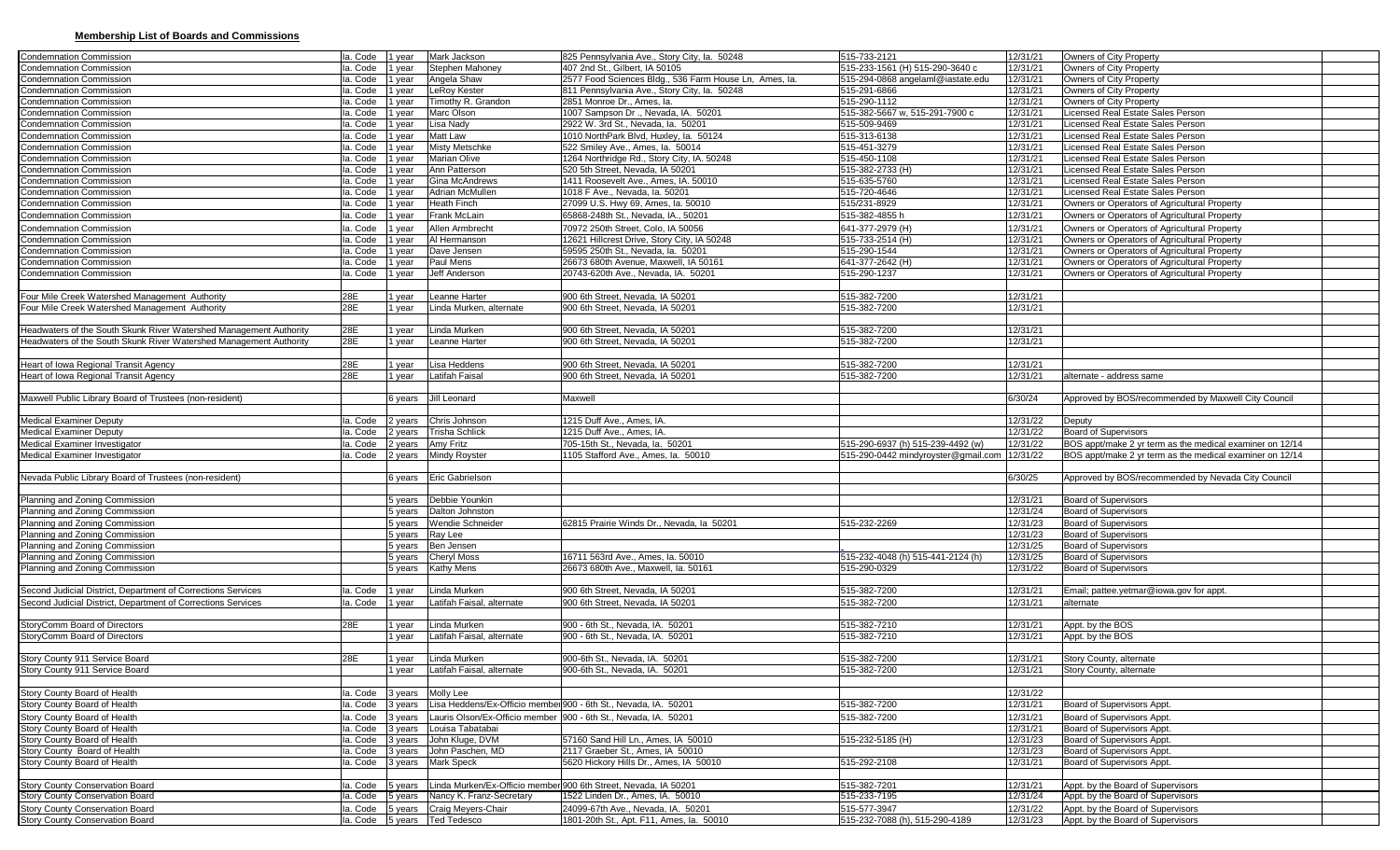## **Membership List of Boards and Commissions**

| <b>Condemnation Commission</b>                                                                                               | Ia. Code | 1 year             | Mark Jackson                                         | 825 Pennsylvania Ave., Story City, la. 50248                                   | 515-733-2121                                   | 12/31/21             | Owners of City Property                                                |
|------------------------------------------------------------------------------------------------------------------------------|----------|--------------------|------------------------------------------------------|--------------------------------------------------------------------------------|------------------------------------------------|----------------------|------------------------------------------------------------------------|
| <b>Condemnation Commission</b>                                                                                               | Ia. Code | 1 year             | Stephen Mahoney                                      | 407 2nd St., Gilbert, IA 50105                                                 | 515-233-1561 (H) 515-290-3640 c                | 12/31/21             | Owners of City Property                                                |
| <b>Condemnation Commission</b>                                                                                               | Ia. Code | year               | Angela Shaw                                          | 2577 Food Sciences Bldg., 536 Farm House Ln, Ames, la.                         | 515-294-0868 angelaml@iastate.edu              | 12/31/21             | Owners of City Property                                                |
| Condemnation Commission                                                                                                      | Ia. Code | I year             | LeRoy Kester                                         | 811 Pennsylvania Ave., Story City, la. 50248                                   | 515-291-6866                                   | 12/31/21             | Owners of City Property                                                |
| <b>Condemnation Commission</b>                                                                                               | Ia. Code | year               | Timothy R. Grandon                                   | 2851 Monroe Dr., Ames, la.                                                     | 515-290-1112                                   | 12/31/21             | Owners of City Property                                                |
| <b>Condemnation Commission</b>                                                                                               | la. Code | year               | Marc Olson                                           | 1007 Sampson Dr., Nevada, IA. 50201                                            | 515-382-5667 w, 515-291-7900 c                 | 12/31/21             | Licensed Real Estate Sales Person                                      |
| Condemnation Commission                                                                                                      | Ia. Code | 1 year             | Lisa Nady                                            | 2922 W. 3rd St., Nevada, la. 50201                                             | 515-509-9469                                   | 12/31/21             | Licensed Real Estate Sales Person                                      |
| <b>Condemnation Commission</b>                                                                                               | la. Code | year               | Matt Law                                             | 1010 NorthPark Blvd, Huxley, la. 50124                                         | 515-313-6138                                   | 12/31/21             | Licensed Real Estate Sales Person                                      |
| <b>Condemnation Commission</b>                                                                                               | la. Code | 1 year             | <b>Misty Metschke</b>                                | 522 Smiley Ave., Ames, la. 50014                                               | 515-451-3279                                   | 12/31/21             | Licensed Real Estate Sales Person                                      |
| <b>Condemnation Commission</b>                                                                                               | Ia. Code | year               | Marian Olive                                         | 1264 Northridge Rd., Story City, IA. 50248                                     | 515-450-1108                                   | 12/31/21             | Licensed Real Estate Sales Person                                      |
| Condemnation Commission                                                                                                      | Ia. Code | year               | Ann Patterson                                        | 520 5th Street, Nevada, IA 50201                                               | 515-382-2733 (H)                               | 12/31/21             | Licensed Real Estate Sales Person                                      |
| <b>Condemnation Commission</b>                                                                                               | Ia. Code | year               | Gina McAndrews                                       | 1411 Roosevelt Ave., Ames, IA. 50010                                           | 515-635-5760                                   | 12/31/21             | Licensed Real Estate Sales Person                                      |
| <b>Condemnation Commission</b>                                                                                               | la. Code | year               | Adrian McMullen                                      | 1018 F Ave., Nevada, la. 50201                                                 | 515-720-4646                                   | 12/31/21             | Licensed Real Estate Sales Person                                      |
| <b>Condemnation Commission</b>                                                                                               | Ia. Code | year               | Heath Finch                                          | 27099 U.S. Hwy 69, Ames, la. 50010                                             | 515/231-8929                                   | 12/31/21             | Owners or Operators of Agricultural Property                           |
| <b>Condemnation Commission</b>                                                                                               | Ia. Code | year               | Frank McLain                                         | 65868-248th St., Nevada, IA., 50201                                            | 515-382-4855h                                  | 12/31/21             | Owners or Operators of Agricultural Property                           |
| <b>Condemnation Commission</b>                                                                                               | Ia. Code | year               | Allen Armbrecht                                      | 70972 250th Street, Colo, IA 50056                                             | 641-377-2979 (H)                               | 12/31/21             | Owners or Operators of Agricultural Property                           |
| Condemnation Commission                                                                                                      | Ia. Code | 1 year             | Al Hermanson                                         | 12621 Hillcrest Drive, Story City, IA 50248                                    | 515-733-2514 (H)                               | 12/31/21             | Owners or Operators of Agricultural Property                           |
| <b>Condemnation Commission</b>                                                                                               | la. Code | year               | Dave Jensen                                          | 59595 250th St., Nevada, la. 50201                                             | 515-290-1544                                   | 12/31/21             | Owners or Operators of Agricultural Property                           |
| <b>Condemnation Commission</b>                                                                                               | Ia. Code | year               | Paul Mens                                            | 26673 680th Avenue, Maxwell, IA 50161                                          | 641-377-2642 (H)                               | 12/31/21             | Owners or Operators of Agricultural Property                           |
| <b>Condemnation Commission</b>                                                                                               | Ia. Code | 1 year             | Jeff Anderson                                        | 20743-620th Ave., Nevada, IA. 50201                                            | 515-290-1237                                   | 12/31/21             | Owners or Operators of Agricultural Property                           |
|                                                                                                                              |          |                    |                                                      |                                                                                |                                                |                      |                                                                        |
| Four Mile Creek Watershed Management Authority                                                                               | 28E      | 1 year             | Leanne Harter                                        | 900 6th Street, Nevada, IA 50201                                               | 515-382-7200                                   | 12/31/21             |                                                                        |
| Four Mile Creek Watershed Management Authority                                                                               | 28E      | 1 year             | Linda Murken, alternate                              | 900 6th Street, Nevada, IA 50201                                               | 515-382-7200                                   | 12/31/21             |                                                                        |
|                                                                                                                              |          |                    |                                                      |                                                                                |                                                |                      |                                                                        |
| Headwaters of the South Skunk River Watershed Management Authority                                                           | 28E      | 1 year             | Linda Murken                                         | 900 6th Street, Nevada, IA 50201                                               | 515-382-7200                                   | 12/31/21             |                                                                        |
| Headwaters of the South Skunk River Watershed Management Authority                                                           | 28E      | 1 year             | Leanne Harter                                        | 900 6th Street, Nevada, IA 50201                                               | 515-382-7200                                   | 12/31/21             |                                                                        |
|                                                                                                                              |          |                    |                                                      |                                                                                |                                                |                      |                                                                        |
| Heart of Iowa Regional Transit Agency                                                                                        | 28E      | 1 year             | isa Heddens                                          | 900 6th Street, Nevada, IA 50201                                               | 515-382-7200                                   | 12/31/21             |                                                                        |
| Heart of Iowa Regional Transit Agency                                                                                        | 28E      | 1 year             | atifah Faisal                                        | 900 6th Street, Nevada, IA 50201                                               | 515-382-7200                                   | 12/31/21             | alternate - address same                                               |
|                                                                                                                              |          |                    |                                                      |                                                                                |                                                |                      |                                                                        |
| Maxwell Public Library Board of Trustees (non-resident)                                                                      |          | 6 years            | Jill Leonard                                         | Maxwell                                                                        |                                                | 6/30/24              | Approved by BOS/recommended by Maxwell City Council                    |
|                                                                                                                              |          |                    |                                                      |                                                                                |                                                |                      |                                                                        |
| <b>Medical Examiner Deputy</b>                                                                                               | Ia. Code | 2 years            | Chris Johnson                                        | 1215 Duff Ave., Ames, IA.                                                      |                                                | 12/31/22             | Deputy                                                                 |
| <b>Medical Examiner Deputy</b>                                                                                               | Ia. Code | 2 years            | <b>Trisha Schlick</b>                                | 1215 Duff Ave., Ames, IA.                                                      |                                                | 12/31/22             | <b>Board of Supervisors</b>                                            |
|                                                                                                                              |          |                    |                                                      |                                                                                |                                                |                      |                                                                        |
| <b>Medical Examiner Investigator</b>                                                                                         | Ia. Code | 2 years            | Amy Fritz                                            | 705-15th St., Nevada, Ia. 50201                                                | 515-290-6937 (h) 515-239-4492 (w)              | 12/31/22             | BOS appt/make 2 yr term as the medical examiner on 12/14               |
| <b>Medical Examiner Investigator</b>                                                                                         | la. Code | 2 years            | Mindy Royster                                        | 1105 Stafford Ave., Ames, la. 50010                                            | 515-290-0442 mindyroyster@gmail.com            | 12/31/22             | BOS appt/make 2 yr term as the medical examiner on 12/14               |
|                                                                                                                              |          |                    |                                                      |                                                                                |                                                |                      |                                                                        |
| Nevada Public Library Board of Trustees (non-resident)                                                                       |          | 6 years            | Eric Gabrielson                                      |                                                                                |                                                | 6/30/25              | Approved by BOS/recommended by Nevada City Council                     |
|                                                                                                                              |          |                    |                                                      |                                                                                |                                                |                      |                                                                        |
| Planning and Zoning Commission                                                                                               |          | 5 years            | Debbie Younkin                                       |                                                                                |                                                | 12/31/21             | <b>Board of Supervisors</b>                                            |
| Planning and Zoning Commission                                                                                               |          | 5 years            | Dalton Johnston                                      |                                                                                |                                                | 12/31/24             | <b>Board of Supervisors</b>                                            |
| Planning and Zoning Commission                                                                                               |          | 5 years            | <b>Wendie Schneider</b>                              | 62815 Prairie Winds Dr., Nevada, la 50201                                      | 515-232-2269                                   | 12/31/23             | <b>Board of Supervisors</b>                                            |
| Planning and Zoning Commission                                                                                               |          | 5 years            | Ray Lee                                              |                                                                                |                                                | 12/31/23             | <b>Board of Supervisors</b>                                            |
| Planning and Zoning Commission                                                                                               |          | 5 years            | Ben Jensen                                           |                                                                                |                                                | 12/31/25             | <b>Board of Supervisors</b>                                            |
|                                                                                                                              |          |                    |                                                      | 16711 563rd Ave., Ames, la. 50010                                              | 515-232-4048 (h) 515-441-2124 (h)              | 12/31/25             |                                                                        |
| Planning and Zoning Commission<br>Planning and Zoning Commission                                                             |          | 5 years<br>5 years | <b>Cheryl Moss</b><br><b>Kathy Mens</b>              | 26673 680th Ave., Maxwell, Ia. 50161                                           | 515-290-0329                                   | 12/31/22             | <b>Board of Supervisors</b><br><b>Board of Supervisors</b>             |
|                                                                                                                              |          |                    |                                                      |                                                                                |                                                |                      |                                                                        |
|                                                                                                                              | la. Code |                    | Linda Murken                                         | 900 6th Street, Nevada, IA 50201                                               |                                                |                      |                                                                        |
| Second Judicial District, Department of Corrections Services<br>Second Judicial District, Department of Corrections Services | la. Code | 1 year<br>1 year   | atifah Faisal, alternate                             | 900 6th Street, Nevada, IA 50201                                               | 515-382-7200<br>515-382-7200                   | 12/31/21<br>12/31/21 | Email; pattee yetmar@iowa.gov for appt.<br>alternate                   |
|                                                                                                                              |          |                    |                                                      |                                                                                |                                                |                      |                                                                        |
|                                                                                                                              | 28E      |                    | Linda Murken                                         |                                                                                |                                                | 12/31/21             |                                                                        |
| StoryComm Board of Directors<br>StoryComm Board of Directors                                                                 |          | 1 year<br>1 year   | Latifah Faisal, alternate                            | 900 - 6th St., Nevada, IA. 50201<br>900 - 6th St., Nevada, IA. 50201           | 515-382-7210<br>515-382-7210                   | 12/31/21             | Appt. by the BOS<br>Appt. by the BOS                                   |
|                                                                                                                              |          |                    |                                                      |                                                                                |                                                |                      |                                                                        |
|                                                                                                                              | 28E      | 1 year             | Linda Murken                                         | 900-6th St., Nevada, IA. 50201                                                 | 515-382-7200                                   |                      |                                                                        |
| Story County 911 Service Board<br>Story County 911 Service Board                                                             |          | 1 vear             | Latifah Faisal, alternate                            | 900-6th St., Nevada, IA, 50201                                                 | 515-382-7200                                   | 12/31/21<br>12/31/21 | Story County, alternate<br>Story County, alternate                     |
|                                                                                                                              |          |                    |                                                      |                                                                                |                                                |                      |                                                                        |
|                                                                                                                              | la. Code |                    |                                                      |                                                                                |                                                | 12/31/22             |                                                                        |
| Story County Board of Health                                                                                                 | Ia. Code | 3 years<br>3 years | Molly Lee                                            | Lisa Heddens/Ex-Officio membel900 - 6th St Nevada. IA. 50201                   | 515-382-7200                                   |                      |                                                                        |
| Story County Board of Health                                                                                                 |          |                    |                                                      |                                                                                |                                                | 12/31/21             | Board of Supervisors Appt.                                             |
| Story County Board of Health                                                                                                 | la. Code | 3 years            |                                                      | Lauris Olson/Ex-Officio member 900 - 6th St., Nevada, IA. 50201                | 515-382-7200                                   | 12/31/21             | Board of Supervisors Appt.                                             |
| Story County Board of Health                                                                                                 | Ia. Code | 3 years            | Louisa Tabatabai                                     |                                                                                |                                                | 12/31/21             | Board of Supervisors Appt.                                             |
| Story County Board of Health                                                                                                 | Ia. Code | 3 years            | John Kluge, DVM                                      | 57160 Sand Hill Ln., Ames, IA 50010                                            | 515-232-5185 (H)                               | 12/31/23             | Board of Supervisors Appt.                                             |
| Story County Board of Health                                                                                                 | Ia. Code | 3 years            | John Paschen, MD                                     | 2117 Graeber St., Ames, IA 50010                                               |                                                | 12/31/23             | Board of Supervisors Appt.                                             |
| Story County Board of Health                                                                                                 | Ia. Code | 3 years            | <b>Mark Speck</b>                                    | 5620 Hickory Hills Dr., Ames, IA 50010                                         | 515-292-2108                                   | 12/31/21             | Board of Supervisors Appt.                                             |
|                                                                                                                              |          |                    |                                                      |                                                                                |                                                |                      |                                                                        |
| <b>Story County Conservation Board</b>                                                                                       | la. Code | 5 years            |                                                      | Linda Murken/Ex-Officio member 900 6th Street, Nevada, IA 50201                | 515-382-7201                                   | 12/31/21             | Appt. by the Board of Supervisors                                      |
| <b>Story County Conservation Board</b>                                                                                       | la. Code | 5 years            | Nancy K. Franz-Secretary                             | 1522 Linden Dr., Ames, IA. 50010                                               | 515-233-7195                                   | 12/31/24             | Appt. by the Board of Supervisors                                      |
| <b>Story County Conservation Board</b><br><b>Story County Conservation Board</b>                                             | Ia. Code | 5 years            | Craig Meyers-Chair<br>Ia. Code 5 years   Ted Tedesco | 24099-67th Ave., Nevada, IA, 50201<br>1801-20th St., Apt. F11, Ames. Ia. 50010 | 515-577-3947<br>515-232-7088 (h), 515-290-4189 | 12/31/22<br>12/31/23 | Appt. by the Board of Supervisors<br>Appt. by the Board of Supervisors |